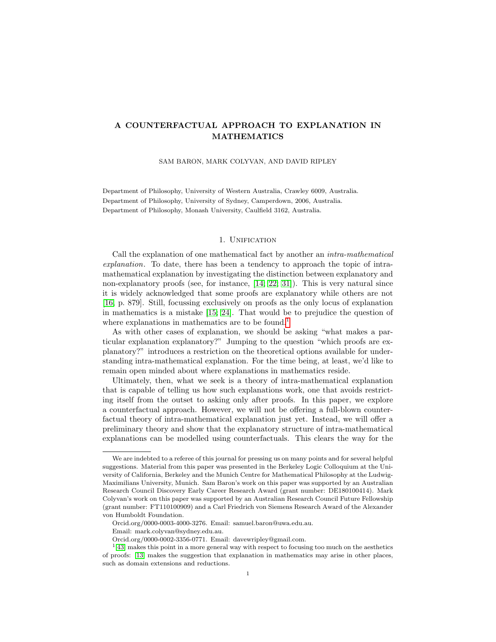# A COUNTERFACTUAL APPROACH TO EXPLANATION IN MATHEMATICS

SAM BARON, MARK COLYVAN, AND DAVID RIPLEY

Department of Philosophy, University of Western Australia, Crawley 6009, Australia. Department of Philosophy, University of Sydney, Camperdown, 2006, Australia. Department of Philosophy, Monash University, Caulfield 3162, Australia.

## 1. Unification

Call the explanation of one mathematical fact by another an intra-mathematical explanation. To date, there has been a tendency to approach the topic of intramathematical explanation by investigating the distinction between explanatory and non-explanatory proofs (see, for instance, [\[14;](#page-28-0) [22;](#page-29-0) [31\]](#page-29-1)). This is very natural since it is widely acknowledged that some proofs are explanatory while others are not [\[16,](#page-28-1) p. 879]. Still, focussing exclusively on proofs as the only locus of explanation in mathematics is a mistake [\[15;](#page-28-2) [24\]](#page-29-2). That would be to prejudice the question of where explanations in mathematics are to be found.<sup>[1](#page-0-0)</sup>

As with other cases of explanation, we should be asking "what makes a particular explanation explanatory?" Jumping to the question "which proofs are explanatory?" introduces a restriction on the theoretical options available for understanding intra-mathematical explanation. For the time being, at least, we'd like to remain open minded about where explanations in mathematics reside.

Ultimately, then, what we seek is a theory of intra-mathematical explanation that is capable of telling us how such explanations work, one that avoids restricting itself from the outset to asking only after proofs. In this paper, we explore a counterfactual approach. However, we will not be offering a full-blown counterfactual theory of intra-mathematical explanation just yet. Instead, we will offer a preliminary theory and show that the explanatory structure of intra-mathematical explanations can be modelled using counterfactuals. This clears the way for the

We are indebted to a referee of this journal for pressing us on many points and for several helpful suggestions. Material from this paper was presented in the Berkeley Logic Colloquium at the University of California, Berkeley and the Munich Centre for Mathematical Philosophy at the Ludwig-Maximilians University, Munich. Sam Baron's work on this paper was supported by an Australian Research Council Discovery Early Career Research Award (grant number: DE180100414). Mark Colyvan's work on this paper was supported by an Australian Research Council Future Fellowship (grant number: FT110100909) and a Carl Friedrich von Siemens Research Award of the Alexander von Humboldt Foundation.

Orcid.org/0000-0003-4000-3276. Email: samuel.baron@uwa.edu.au.

Email: mark.colyvan@sydney.edu.au.

<span id="page-0-0"></span>Orcid.org/0000-0002-3356-0771. Email: davewripley@gmail.com.

<sup>&</sup>lt;sup>1</sup>[\[43\]](#page-30-0) makes this point in a more general way with respect to focusing too much on the aesthetics of proofs: [\[13\]](#page-28-3) makes the suggestion that explanation in mathematics may arise in other places, such as domain extensions and reductions.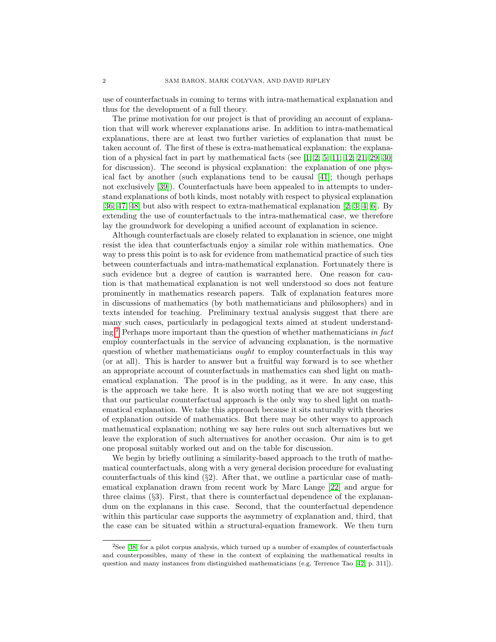use of counterfactuals in coming to terms with intra-mathematical explanation and thus for the development of a full theory.

The prime motivation for our project is that of providing an account of explanation that will work wherever explanations arise. In addition to intra-mathematical explanations, there are at least two further varieties of explanation that must be taken account of. The first of these is extra-mathematical explanation: the explanation of a physical fact in part by mathematical facts (see  $\left[1; 2; 5; 11; 12; 21; 29; 30\right]$  $\left[1; 2; 5; 11; 12; 21; 29; 30\right]$  $\left[1; 2; 5; 11; 12; 21; 29; 30\right]$  $\left[1; 2; 5; 11; 12; 21; 29; 30\right]$  $\left[1; 2; 5; 11; 12; 21; 29; 30\right]$  $\left[1; 2; 5; 11; 12; 21; 29; 30\right]$  $\left[1; 2; 5; 11; 12; 21; 29; 30\right]$  $\left[1; 2; 5; 11; 12; 21; 29; 30\right]$  $\left[1; 2; 5; 11; 12; 21; 29; 30\right]$ for discussion). The second is physical explanation: the explanation of one physical fact by another (such explanations tend to be causal [\[41\]](#page-29-6); though perhaps not exclusively [\[39\]](#page-29-7)). Counterfactuals have been appealed to in attempts to understand explanations of both kinds, most notably with respect to physical explanation [\[36;](#page-29-8) [47;](#page-30-1) [48\]](#page-30-2) but also with respect to extra-mathematical explanation [\[2;](#page-28-5) [3;](#page-28-9) [4;](#page-28-10) [6\]](#page-28-11). By extending the use of counterfactuals to the intra-mathematical case, we therefore lay the groundwork for developing a unified account of explanation in science.

Although counterfactuals are closely related to explanation in science, one might resist the idea that counterfactuals enjoy a similar role within mathematics. One way to press this point is to ask for evidence from mathematical practice of such ties between counterfactuals and intra-mathematical explanation. Fortunately there is such evidence but a degree of caution is warranted here. One reason for caution is that mathematical explanation is not well understood so does not feature prominently in mathematics research papers. Talk of explanation features more in discussions of mathematics (by both mathematicians and philosophers) and in texts intended for teaching. Preliminary textual analysis suggest that there are many such cases, particularly in pedagogical texts aimed at student understanding.[2](#page-1-0) Perhaps more important than the question of whether mathematicians in fact employ counterfactuals in the service of advancing explanation, is the normative question of whether mathematicians ought to employ counterfactuals in this way (or at all). This is harder to answer but a fruitful way forward is to see whether an appropriate account of counterfactuals in mathematics can shed light on mathematical explanation. The proof is in the pudding, as it were. In any case, this is the approach we take here. It is also worth noting that we are not suggesting that our particular counterfactual approach is the only way to shed light on mathematical explanation. We take this approach because it sits naturally with theories of explanation outside of mathematics. But there may be other ways to approach mathematical explanation; nothing we say here rules out such alternatives but we leave the exploration of such alternatives for another occasion. Our aim is to get one proposal suitably worked out and on the table for discussion.

We begin by briefly outlining a similarity-based approach to the truth of mathematical counterfactuals, along with a very general decision procedure for evaluating counterfactuals of this kind (§2). After that, we outline a particular case of mathematical explanation drawn from recent work by Marc Lange [\[22\]](#page-29-0) and argue for three claims  $(\S3)$ . First, that there is counterfactual dependence of the explanandum on the explanans in this case. Second, that the counterfactual dependence within this particular case supports the asymmetry of explanation and, third, that the case can be situated within a structural-equation framework. We then turn

<span id="page-1-0"></span> $2$ See [\[38\]](#page-29-9) for a pilot corpus analysis, which turned up a number of examples of counterfactuals and counterpossibles, many of these in the context of explaining the mathematical results in question and many instances from distinguished mathematicians (e.g. Terrence Tao [\[42,](#page-30-3) p. 311]).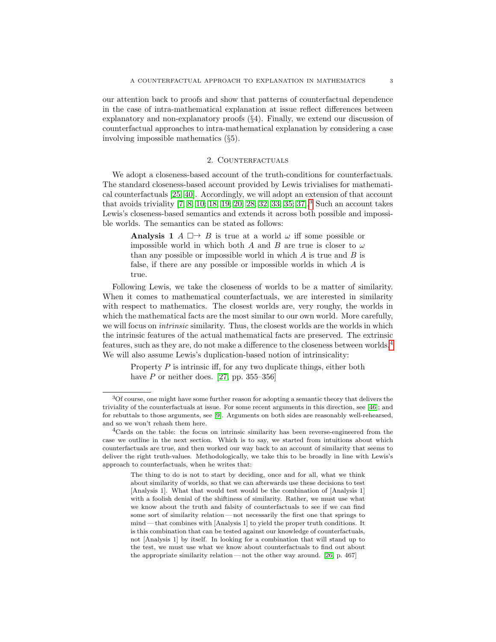our attention back to proofs and show that patterns of counterfactual dependence in the case of intra-mathematical explanation at issue reflect differences between explanatory and non-explanatory proofs (§4). Finally, we extend our discussion of counterfactual approaches to intra-mathematical explanation by considering a case involving impossible mathematics (§5).

# 2. Counterfactuals

We adopt a closeness-based account of the truth-conditions for counterfactuals. The standard closeness-based account provided by Lewis trivialises for mathematical counterfactuals [\[25;](#page-29-10) [40\]](#page-29-11). Accordingly, we will adopt an extension of that account that avoids triviality [\[7;](#page-28-12) [8;](#page-28-13) [10;](#page-28-14) [18;](#page-29-12) [19;](#page-29-13) [20;](#page-29-14) [28;](#page-29-15) [32;](#page-29-16) [33;](#page-29-17) [35;](#page-29-18) [37\]](#page-29-19).[3](#page-2-0) Such an account takes Lewis's closeness-based semantics and extends it across both possible and impossible worlds. The semantics can be stated as follows:

Analysis 1 A  $\Box \rightarrow B$  is true at a world  $\omega$  iff some possible or impossible world in which both A and B are true is closer to  $\omega$ than any possible or impossible world in which  $A$  is true and  $B$  is false, if there are any possible or impossible worlds in which A is true.

Following Lewis, we take the closeness of worlds to be a matter of similarity. When it comes to mathematical counterfactuals, we are interested in similarity with respect to mathematics. The closest worlds are, very roughy, the worlds in which the mathematical facts are the most similar to our own world. More carefully, we will focus on *intrinsic* similarity. Thus, the closest worlds are the worlds in which the intrinsic features of the actual mathematical facts are preserved. The extrinsic features, such as they are, do not make a difference to the closeness between worlds.[4](#page-2-1) We will also assume Lewis's duplication-based notion of intrinsicality:

Property  $P$  is intrinsic iff, for any two duplicate things, either both have  $P$  or neither does. [\[27,](#page-29-20) pp. 355–356]

<span id="page-2-0"></span> $3$ Of course, one might have some further reason for adopting a semantic theory that delivers the triviality of the counterfactuals at issue. For some recent arguments in this direction, see [\[46\]](#page-30-4); and for rebuttals to those arguments, see [\[9\]](#page-28-15). Arguments on both sides are reasonably well-rehearsed, and so we won't rehash them here.

<span id="page-2-1"></span><sup>4</sup>Cards on the table: the focus on intrinsic similarity has been reverse-engineered from the case we outline in the next section. Which is to say, we started from intuitions about which counterfactuals are true, and then worked our way back to an account of similarity that seems to deliver the right truth-values. Methodologically, we take this to be broadly in line with Lewis's approach to counterfactuals, when he writes that:

The thing to do is not to start by deciding, once and for all, what we think about similarity of worlds, so that we can afterwards use these decisions to test [Analysis 1]. What that would test would be the combination of [Analysis 1] with a foolish denial of the shiftiness of similarity. Rather, we must use what we know about the truth and falsity of counterfactuals to see if we can find some sort of similarity relation — not necessarily the first one that springs to mind — that combines with [Analysis 1] to yield the proper truth conditions. It is this combination that can be tested against our knowledge of counterfactuals, not [Analysis 1] by itself. In looking for a combination that will stand up to the test, we must use what we know about counterfactuals to find out about the appropriate similarity relation — not the other way around. [\[26,](#page-29-21) p. 467]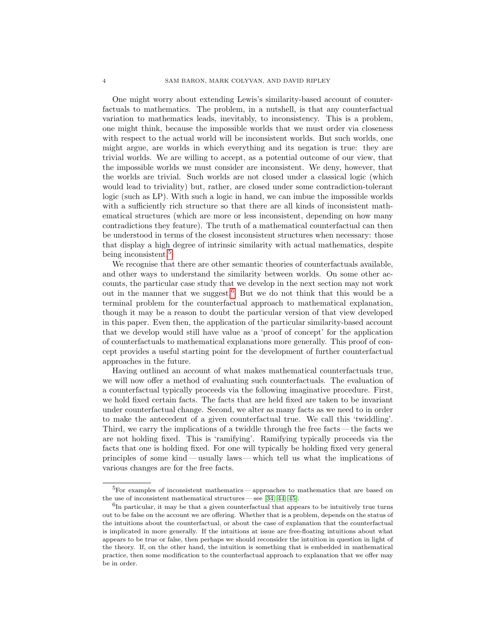One might worry about extending Lewis's similarity-based account of counterfactuals to mathematics. The problem, in a nutshell, is that any counterfactual variation to mathematics leads, inevitably, to inconsistency. This is a problem, one might think, because the impossible worlds that we must order via closeness with respect to the actual world will be inconsistent worlds. But such worlds, one might argue, are worlds in which everything and its negation is true: they are trivial worlds. We are willing to accept, as a potential outcome of our view, that the impossible worlds we must consider are inconsistent. We deny, however, that the worlds are trivial. Such worlds are not closed under a classical logic (which would lead to triviality) but, rather, are closed under some contradiction-tolerant logic (such as LP). With such a logic in hand, we can imbue the impossible worlds with a sufficiently rich structure so that there are all kinds of inconsistent mathematical structures (which are more or less inconsistent, depending on how many contradictions they feature). The truth of a mathematical counterfactual can then be understood in terms of the closest inconsistent structures when necessary: those that display a high degree of intrinsic similarity with actual mathematics, despite being inconsistent.<sup>[5](#page-3-0)</sup>

We recognise that there are other semantic theories of counterfactuals available, and other ways to understand the similarity between worlds. On some other accounts, the particular case study that we develop in the next section may not work out in the manner that we suggest.<sup>[6](#page-3-1)</sup> But we do not think that this would be a terminal problem for the counterfactual approach to mathematical explanation, though it may be a reason to doubt the particular version of that view developed in this paper. Even then, the application of the particular similarity-based account that we develop would still have value as a 'proof of concept' for the application of counterfactuals to mathematical explanations more generally. This proof of concept provides a useful starting point for the development of further counterfactual approaches in the future.

Having outlined an account of what makes mathematical counterfactuals true, we will now offer a method of evaluating such counterfactuals. The evaluation of a counterfactual typically proceeds via the following imaginative procedure. First, we hold fixed certain facts. The facts that are held fixed are taken to be invariant under counterfactual change. Second, we alter as many facts as we need to in order to make the antecedent of a given counterfactual true. We call this 'twiddling'. Third, we carry the implications of a twiddle through the free facts — the facts we are not holding fixed. This is 'ramifying'. Ramifying typically proceeds via the facts that one is holding fixed. For one will typically be holding fixed very general principles of some kind — usually laws — which tell us what the implications of various changes are for the free facts.

<span id="page-3-0"></span><sup>5</sup>For examples of inconsistent mathematics — approaches to mathematics that are based on the use of inconsistent mathematical structures — see [\[34;](#page-29-22) [44;](#page-30-5) [45\]](#page-30-6).

<span id="page-3-1"></span> ${}^{6}$ In particular, it may be that a given counterfactual that appears to be intuitively true turns out to be false on the account we are offering. Whether that is a problem, depends on the status of the intuitions about the counterfactual, or about the case of explanation that the counterfactual is implicated in more generally. If the intuitions at issue are free-floating intuitions about what appears to be true or false, then perhaps we should reconsider the intuition in question in light of the theory. If, on the other hand, the intuition is something that is embedded in mathematical practice, then some modification to the counterfactual approach to explanation that we offer may be in order.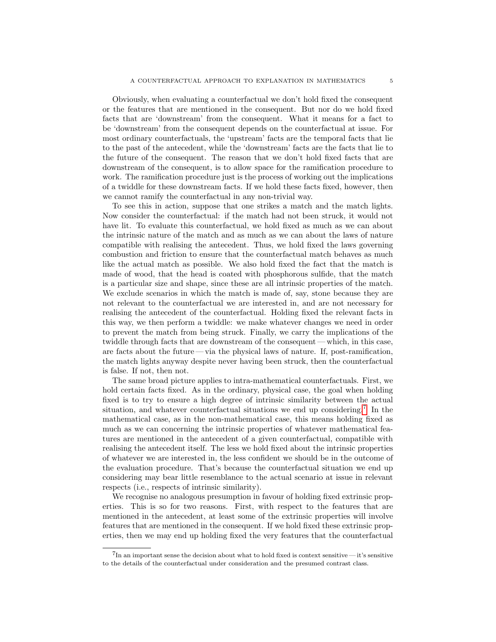Obviously, when evaluating a counterfactual we don't hold fixed the consequent or the features that are mentioned in the consequent. But nor do we hold fixed facts that are 'downstream' from the consequent. What it means for a fact to be 'downstream' from the consequent depends on the counterfactual at issue. For most ordinary counterfactuals, the 'upstream' facts are the temporal facts that lie to the past of the antecedent, while the 'downstream' facts are the facts that lie to the future of the consequent. The reason that we don't hold fixed facts that are downstream of the consequent, is to allow space for the ramification procedure to work. The ramification procedure just is the process of working out the implications of a twiddle for these downstream facts. If we hold these facts fixed, however, then we cannot ramify the counterfactual in any non-trivial way.

To see this in action, suppose that one strikes a match and the match lights. Now consider the counterfactual: if the match had not been struck, it would not have lit. To evaluate this counterfactual, we hold fixed as much as we can about the intrinsic nature of the match and as much as we can about the laws of nature compatible with realising the antecedent. Thus, we hold fixed the laws governing combustion and friction to ensure that the counterfactual match behaves as much like the actual match as possible. We also hold fixed the fact that the match is made of wood, that the head is coated with phosphorous sulfide, that the match is a particular size and shape, since these are all intrinsic properties of the match. We exclude scenarios in which the match is made of, say, stone because they are not relevant to the counterfactual we are interested in, and are not necessary for realising the antecedent of the counterfactual. Holding fixed the relevant facts in this way, we then perform a twiddle: we make whatever changes we need in order to prevent the match from being struck. Finally, we carry the implications of the twiddle through facts that are downstream of the consequent — which, in this case, are facts about the future — via the physical laws of nature. If, post-ramification, the match lights anyway despite never having been struck, then the counterfactual is false. If not, then not.

The same broad picture applies to intra-mathematical counterfactuals. First, we hold certain facts fixed. As in the ordinary, physical case, the goal when holding fixed is to try to ensure a high degree of intrinsic similarity between the actual situation, and whatever counterfactual situations we end up considering.<sup>[7](#page-4-0)</sup> In the mathematical case, as in the non-mathematical case, this means holding fixed as much as we can concerning the intrinsic properties of whatever mathematical features are mentioned in the antecedent of a given counterfactual, compatible with realising the antecedent itself. The less we hold fixed about the intrinsic properties of whatever we are interested in, the less confident we should be in the outcome of the evaluation procedure. That's because the counterfactual situation we end up considering may bear little resemblance to the actual scenario at issue in relevant respects (i.e., respects of intrinsic similarity).

We recognise no analogous presumption in favour of holding fixed extrinsic properties. This is so for two reasons. First, with respect to the features that are mentioned in the antecedent, at least some of the extrinsic properties will involve features that are mentioned in the consequent. If we hold fixed these extrinsic properties, then we may end up holding fixed the very features that the counterfactual

<span id="page-4-0"></span> ${}^{7}$ In an important sense the decision about what to hold fixed is context sensitive — it's sensitive to the details of the counterfactual under consideration and the presumed contrast class.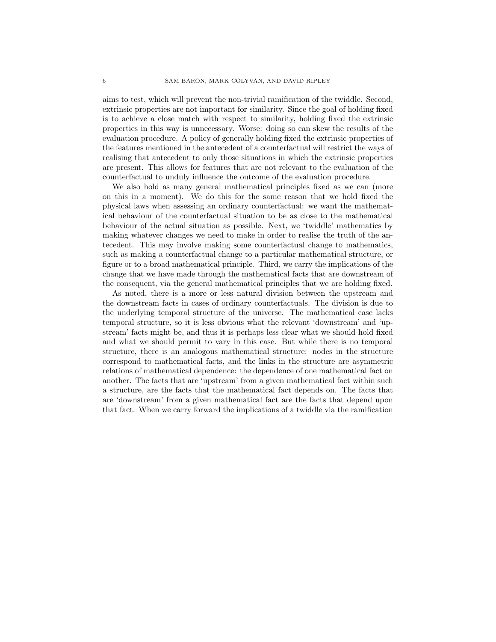aims to test, which will prevent the non-trivial ramification of the twiddle. Second, extrinsic properties are not important for similarity. Since the goal of holding fixed is to achieve a close match with respect to similarity, holding fixed the extrinsic properties in this way is unnecessary. Worse: doing so can skew the results of the evaluation procedure. A policy of generally holding fixed the extrinsic properties of the features mentioned in the antecedent of a counterfactual will restrict the ways of realising that antecedent to only those situations in which the extrinsic properties are present. This allows for features that are not relevant to the evaluation of the counterfactual to unduly influence the outcome of the evaluation procedure.

We also hold as many general mathematical principles fixed as we can (more on this in a moment). We do this for the same reason that we hold fixed the physical laws when assessing an ordinary counterfactual: we want the mathematical behaviour of the counterfactual situation to be as close to the mathematical behaviour of the actual situation as possible. Next, we 'twiddle' mathematics by making whatever changes we need to make in order to realise the truth of the antecedent. This may involve making some counterfactual change to mathematics, such as making a counterfactual change to a particular mathematical structure, or figure or to a broad mathematical principle. Third, we carry the implications of the change that we have made through the mathematical facts that are downstream of the consequent, via the general mathematical principles that we are holding fixed.

As noted, there is a more or less natural division between the upstream and the downstream facts in cases of ordinary counterfactuals. The division is due to the underlying temporal structure of the universe. The mathematical case lacks temporal structure, so it is less obvious what the relevant 'downstream' and 'upstream' facts might be, and thus it is perhaps less clear what we should hold fixed and what we should permit to vary in this case. But while there is no temporal structure, there is an analogous mathematical structure: nodes in the structure correspond to mathematical facts, and the links in the structure are asymmetric relations of mathematical dependence: the dependence of one mathematical fact on another. The facts that are 'upstream' from a given mathematical fact within such a structure, are the facts that the mathematical fact depends on. The facts that are 'downstream' from a given mathematical fact are the facts that depend upon that fact. When we carry forward the implications of a twiddle via the ramification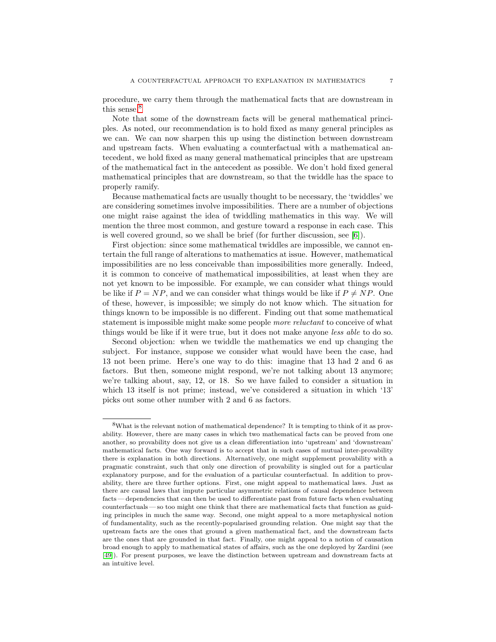procedure, we carry them through the mathematical facts that are downstream in this sense.<sup>[8](#page-6-0)</sup>

Note that some of the downstream facts will be general mathematical principles. As noted, our recommendation is to hold fixed as many general principles as we can. We can now sharpen this up using the distinction between downstream and upstream facts. When evaluating a counterfactual with a mathematical antecedent, we hold fixed as many general mathematical principles that are upstream of the mathematical fact in the antecedent as possible. We don't hold fixed general mathematical principles that are downstream, so that the twiddle has the space to properly ramify.

Because mathematical facts are usually thought to be necessary, the 'twiddles' we are considering sometimes involve impossibilities. There are a number of objections one might raise against the idea of twiddling mathematics in this way. We will mention the three most common, and gesture toward a response in each case. This is well covered ground, so we shall be brief (for further discussion, see [\[6\]](#page-28-11)).

First objection: since some mathematical twiddles are impossible, we cannot entertain the full range of alterations to mathematics at issue. However, mathematical impossibilities are no less conceivable than impossibilities more generally. Indeed, it is common to conceive of mathematical impossibilities, at least when they are not yet known to be impossible. For example, we can consider what things would be like if  $P = NP$ , and we can consider what things would be like if  $P \neq NP$ . One of these, however, is impossible; we simply do not know which. The situation for things known to be impossible is no different. Finding out that some mathematical statement is impossible might make some people more reluctant to conceive of what things would be like if it were true, but it does not make anyone less able to do so.

Second objection: when we twiddle the mathematics we end up changing the subject. For instance, suppose we consider what would have been the case, had 13 not been prime. Here's one way to do this: imagine that 13 had 2 and 6 as factors. But then, someone might respond, we're not talking about 13 anymore; we're talking about, say, 12, or 18. So we have failed to consider a situation in which 13 itself is not prime; instead, we've considered a situation in which '13' picks out some other number with 2 and 6 as factors.

<span id="page-6-0"></span><sup>8</sup>What is the relevant notion of mathematical dependence? It is tempting to think of it as provability. However, there are many cases in which two mathematical facts can be proved from one another, so provability does not give us a clean differentiation into 'upstream' and 'downstream' mathematical facts. One way forward is to accept that in such cases of mutual inter-provability there is explanation in both directions. Alternatively, one might supplement provability with a pragmatic constraint, such that only one direction of provability is singled out for a particular explanatory purpose, and for the evaluation of a particular counterfactual. In addition to provability, there are three further options. First, one might appeal to mathematical laws. Just as there are causal laws that impute particular asymmetric relations of causal dependence between facts — dependencies that can then be used to differentiate past from future facts when evaluating counterfactuals — so too might one think that there are mathematical facts that function as guiding principles in much the same way. Second, one might appeal to a more metaphysical notion of fundamentality, such as the recently-popularised grounding relation. One might say that the upstream facts are the ones that ground a given mathematical fact, and the downstream facts are the ones that are grounded in that fact. Finally, one might appeal to a notion of causation broad enough to apply to mathematical states of affairs, such as the one deployed by Zardini (see [\[49\]](#page-30-7)). For present purposes, we leave the distinction between upstream and downstream facts at an intuitive level.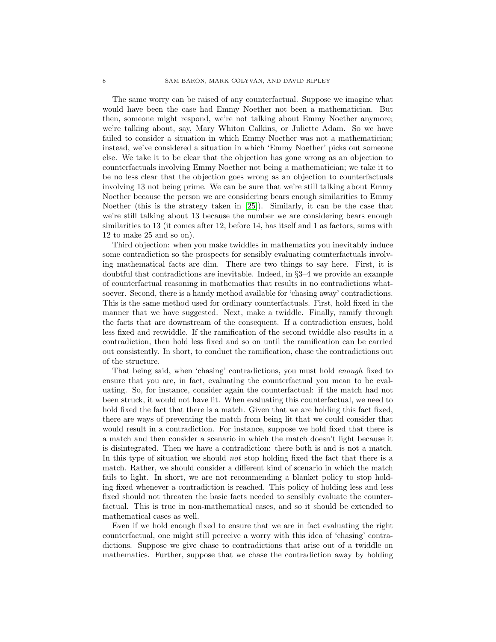The same worry can be raised of any counterfactual. Suppose we imagine what would have been the case had Emmy Noether not been a mathematician. But then, someone might respond, we're not talking about Emmy Noether anymore; we're talking about, say, Mary Whiton Calkins, or Juliette Adam. So we have failed to consider a situation in which Emmy Noether was not a mathematician; instead, we've considered a situation in which 'Emmy Noether' picks out someone else. We take it to be clear that the objection has gone wrong as an objection to counterfactuals involving Emmy Noether not being a mathematician; we take it to be no less clear that the objection goes wrong as an objection to counterfactuals involving 13 not being prime. We can be sure that we're still talking about Emmy Noether because the person we are considering bears enough similarities to Emmy Noether (this is the strategy taken in [\[25\]](#page-29-10)). Similarly, it can be the case that we're still talking about 13 because the number we are considering bears enough similarities to 13 (it comes after 12, before 14, has itself and 1 as factors, sums with 12 to make 25 and so on).

Third objection: when you make twiddles in mathematics you inevitably induce some contradiction so the prospects for sensibly evaluating counterfactuals involving mathematical facts are dim. There are two things to say here. First, it is doubtful that contradictions are inevitable. Indeed, in §3–4 we provide an example of counterfactual reasoning in mathematics that results in no contradictions whatsoever. Second, there is a handy method available for 'chasing away' contradictions. This is the same method used for ordinary counterfactuals. First, hold fixed in the manner that we have suggested. Next, make a twiddle. Finally, ramify through the facts that are downstream of the consequent. If a contradiction ensues, hold less fixed and retwiddle. If the ramification of the second twiddle also results in a contradiction, then hold less fixed and so on until the ramification can be carried out consistently. In short, to conduct the ramification, chase the contradictions out of the structure.

That being said, when 'chasing' contradictions, you must hold enough fixed to ensure that you are, in fact, evaluating the counterfactual you mean to be evaluating. So, for instance, consider again the counterfactual: if the match had not been struck, it would not have lit. When evaluating this counterfactual, we need to hold fixed the fact that there is a match. Given that we are holding this fact fixed, there are ways of preventing the match from being lit that we could consider that would result in a contradiction. For instance, suppose we hold fixed that there is a match and then consider a scenario in which the match doesn't light because it is disintegrated. Then we have a contradiction: there both is and is not a match. In this type of situation we should not stop holding fixed the fact that there is a match. Rather, we should consider a different kind of scenario in which the match fails to light. In short, we are not recommending a blanket policy to stop holding fixed whenever a contradiction is reached. This policy of holding less and less fixed should not threaten the basic facts needed to sensibly evaluate the counterfactual. This is true in non-mathematical cases, and so it should be extended to mathematical cases as well.

Even if we hold enough fixed to ensure that we are in fact evaluating the right counterfactual, one might still perceive a worry with this idea of 'chasing' contradictions. Suppose we give chase to contradictions that arise out of a twiddle on mathematics. Further, suppose that we chase the contradiction away by holding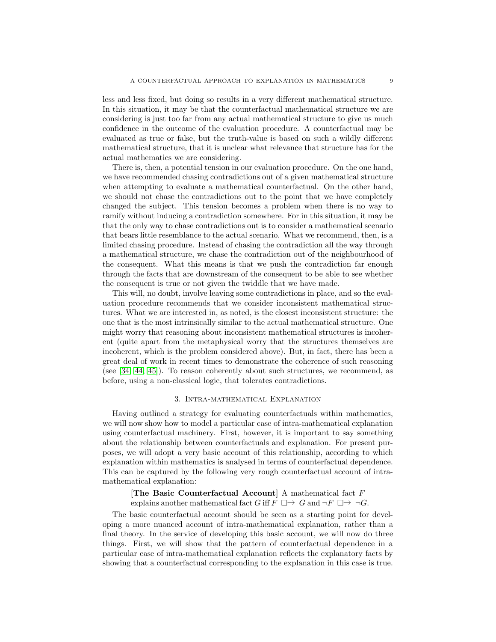less and less fixed, but doing so results in a very different mathematical structure. In this situation, it may be that the counterfactual mathematical structure we are considering is just too far from any actual mathematical structure to give us much confidence in the outcome of the evaluation procedure. A counterfactual may be evaluated as true or false, but the truth-value is based on such a wildly different mathematical structure, that it is unclear what relevance that structure has for the actual mathematics we are considering.

There is, then, a potential tension in our evaluation procedure. On the one hand, we have recommended chasing contradictions out of a given mathematical structure when attempting to evaluate a mathematical counterfactual. On the other hand, we should not chase the contradictions out to the point that we have completely changed the subject. This tension becomes a problem when there is no way to ramify without inducing a contradiction somewhere. For in this situation, it may be that the only way to chase contradictions out is to consider a mathematical scenario that bears little resemblance to the actual scenario. What we recommend, then, is a limited chasing procedure. Instead of chasing the contradiction all the way through a mathematical structure, we chase the contradiction out of the neighbourhood of the consequent. What this means is that we push the contradiction far enough through the facts that are downstream of the consequent to be able to see whether the consequent is true or not given the twiddle that we have made.

This will, no doubt, involve leaving some contradictions in place, and so the evaluation procedure recommends that we consider inconsistent mathematical structures. What we are interested in, as noted, is the closest inconsistent structure: the one that is the most intrinsically similar to the actual mathematical structure. One might worry that reasoning about inconsistent mathematical structures is incoherent (quite apart from the metaphysical worry that the structures themselves are incoherent, which is the problem considered above). But, in fact, there has been a great deal of work in recent times to demonstrate the coherence of such reasoning (see [\[34;](#page-29-22) [44;](#page-30-5) [45\]](#page-30-6)). To reason coherently about such structures, we recommend, as before, using a non-classical logic, that tolerates contradictions.

#### 3. Intra-mathematical Explanation

Having outlined a strategy for evaluating counterfactuals within mathematics, we will now show how to model a particular case of intra-mathematical explanation using counterfactual machinery. First, however, it is important to say something about the relationship between counterfactuals and explanation. For present purposes, we will adopt a very basic account of this relationship, according to which explanation within mathematics is analysed in terms of counterfactual dependence. This can be captured by the following very rough counterfactual account of intramathematical explanation:

[The Basic Counterfactual Account] A mathematical fact F explains another mathematical fact G iff  $F \Box \rightarrow G$  and  $\neg F \Box \rightarrow \neg G$ .

The basic counterfactual account should be seen as a starting point for developing a more nuanced account of intra-mathematical explanation, rather than a final theory. In the service of developing this basic account, we will now do three things. First, we will show that the pattern of counterfactual dependence in a particular case of intra-mathematical explanation reflects the explanatory facts by showing that a counterfactual corresponding to the explanation in this case is true.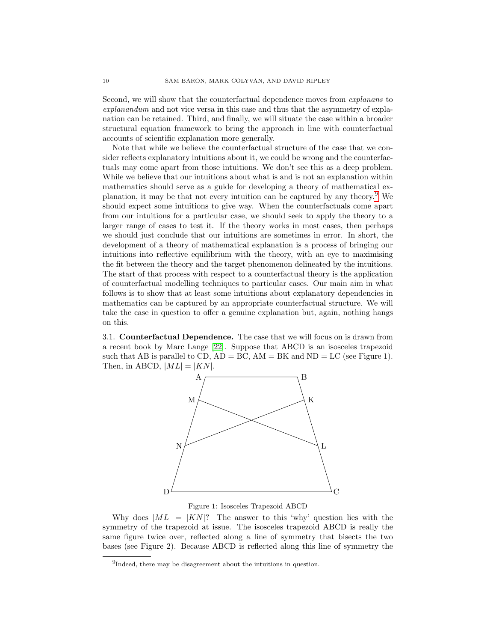Second, we will show that the counterfactual dependence moves from explanans to explanandum and not vice versa in this case and thus that the asymmetry of explanation can be retained. Third, and finally, we will situate the case within a broader structural equation framework to bring the approach in line with counterfactual accounts of scientific explanation more generally.

Note that while we believe the counterfactual structure of the case that we consider reflects explanatory intuitions about it, we could be wrong and the counterfactuals may come apart from those intuitions. We don't see this as a deep problem. While we believe that our intuitions about what is and is not an explanation within mathematics should serve as a guide for developing a theory of mathematical explanation, it may be that not every intuition can be captured by any theory.[9](#page-9-0) We should expect some intuitions to give way. When the counterfactuals come apart from our intuitions for a particular case, we should seek to apply the theory to a larger range of cases to test it. If the theory works in most cases, then perhaps we should just conclude that our intuitions are sometimes in error. In short, the development of a theory of mathematical explanation is a process of bringing our intuitions into reflective equilibrium with the theory, with an eye to maximising the fit between the theory and the target phenomenon delineated by the intuitions. The start of that process with respect to a counterfactual theory is the application of counterfactual modelling techniques to particular cases. Our main aim in what follows is to show that at least some intuitions about explanatory dependencies in mathematics can be captured by an appropriate counterfactual structure. We will take the case in question to offer a genuine explanation but, again, nothing hangs on this.

3.1. Counterfactual Dependence. The case that we will focus on is drawn from a recent book by Marc Lange [\[22\]](#page-29-0). Suppose that ABCD is an isosceles trapezoid such that AB is parallel to CD,  $AD = BC$ ,  $AM = BK$  and  $ND = LC$  (see Figure 1). Then, in ABCD,  $|ML| = |KN|$ .



Figure 1: Isosceles Trapezoid ABCD

Why does  $|ML| = |KN|$ ? The answer to this 'why' question lies with the symmetry of the trapezoid at issue. The isosceles trapezoid ABCD is really the same figure twice over, reflected along a line of symmetry that bisects the two bases (see Figure 2). Because ABCD is reflected along this line of symmetry the

<span id="page-9-0"></span><sup>&</sup>lt;sup>9</sup>Indeed, there may be disagreement about the intuitions in question.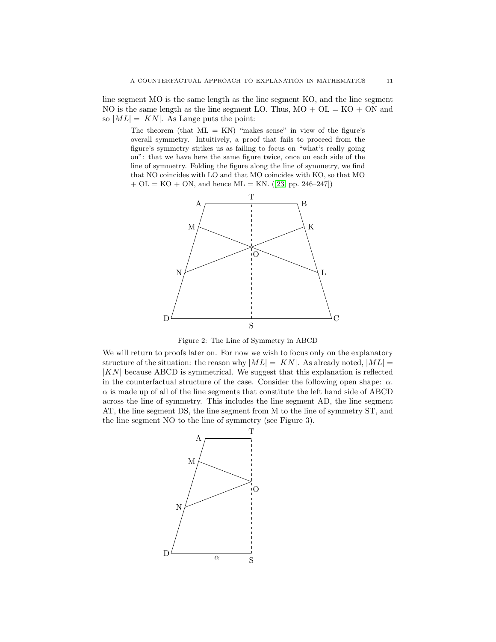line segment MO is the same length as the line segment KO, and the line segment NO is the same length as the line segment LO. Thus,  $MO + OL = KO + ON$  and so  $|ML| = |KN|$ . As Lange puts the point:

The theorem (that  $ML = KN$ ) "makes sense" in view of the figure's overall symmetry. Intuitively, a proof that fails to proceed from the figure's symmetry strikes us as failing to focus on "what's really going on": that we have here the same figure twice, once on each side of the line of symmetry. Folding the figure along the line of symmetry, we find that NO coincides with LO and that MO coincides with KO, so that MO  $+$  OL = KO + ON, and hence ML = KN. ([\[23,](#page-29-23) pp. 246–247])



Figure 2: The Line of Symmetry in ABCD

We will return to proofs later on. For now we wish to focus only on the explanatory structure of the situation: the reason why  $|ML| = |KN|$ . As already noted,  $|ML| =$  $|KN|$  because ABCD is symmetrical. We suggest that this explanation is reflected in the counterfactual structure of the case. Consider the following open shape:  $\alpha$ .  $\alpha$  is made up of all of the line segments that constitute the left hand side of ABCD across the line of symmetry. This includes the line segment AD, the line segment AT, the line segment DS, the line segment from M to the line of symmetry ST, and the line segment NO to the line of symmetry (see Figure 3).

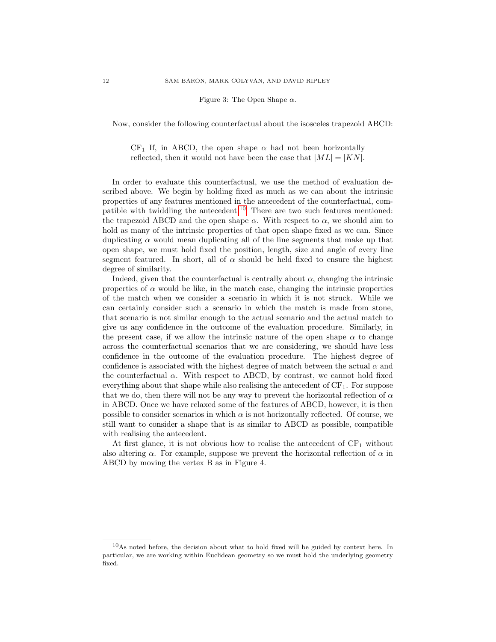Figure 3: The Open Shape  $\alpha$ .

Now, consider the following counterfactual about the isosceles trapezoid ABCD:

 $CF<sub>1</sub>$  If, in ABCD, the open shape  $\alpha$  had not been horizontally reflected, then it would not have been the case that  $|ML| = |KN|$ .

In order to evaluate this counterfactual, we use the method of evaluation described above. We begin by holding fixed as much as we can about the intrinsic properties of any features mentioned in the antecedent of the counterfactual, com-patible with twiddling the antecedent.<sup>[10](#page-11-0)</sup> There are two such features mentioned: the trapezoid ABCD and the open shape  $\alpha$ . With respect to  $\alpha$ , we should aim to hold as many of the intrinsic properties of that open shape fixed as we can. Since duplicating  $\alpha$  would mean duplicating all of the line segments that make up that open shape, we must hold fixed the position, length, size and angle of every line segment featured. In short, all of  $\alpha$  should be held fixed to ensure the highest degree of similarity.

Indeed, given that the counterfactual is centrally about  $\alpha$ , changing the intrinsic properties of  $\alpha$  would be like, in the match case, changing the intrinsic properties of the match when we consider a scenario in which it is not struck. While we can certainly consider such a scenario in which the match is made from stone, that scenario is not similar enough to the actual scenario and the actual match to give us any confidence in the outcome of the evaluation procedure. Similarly, in the present case, if we allow the intrinsic nature of the open shape  $\alpha$  to change across the counterfactual scenarios that we are considering, we should have less confidence in the outcome of the evaluation procedure. The highest degree of confidence is associated with the highest degree of match between the actual  $\alpha$  and the counterfactual  $\alpha$ . With respect to ABCD, by contrast, we cannot hold fixed everything about that shape while also realising the antecedent of  $CF<sub>1</sub>$ . For suppose that we do, then there will not be any way to prevent the horizontal reflection of  $\alpha$ in ABCD. Once we have relaxed some of the features of ABCD, however, it is then possible to consider scenarios in which  $\alpha$  is not horizontally reflected. Of course, we still want to consider a shape that is as similar to ABCD as possible, compatible with realising the antecedent.

At first glance, it is not obvious how to realise the antecedent of  $CF_1$  without also altering  $\alpha$ . For example, suppose we prevent the horizontal reflection of  $\alpha$  in ABCD by moving the vertex B as in Figure 4.

<span id="page-11-0"></span><sup>10</sup>As noted before, the decision about what to hold fixed will be guided by context here. In particular, we are working within Euclidean geometry so we must hold the underlying geometry fixed.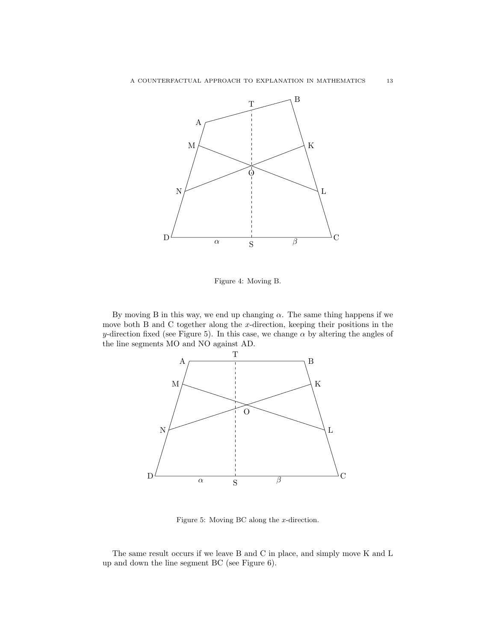

Figure 4: Moving B.

By moving B in this way, we end up changing  $\alpha$ . The same thing happens if we move both B and C together along the x-direction, keeping their positions in the y-direction fixed (see Figure 5). In this case, we change  $\alpha$  by altering the angles of the line segments MO and NO against AD.



Figure 5: Moving BC along the x-direction.

The same result occurs if we leave B and C in place, and simply move K and L up and down the line segment BC (see Figure 6).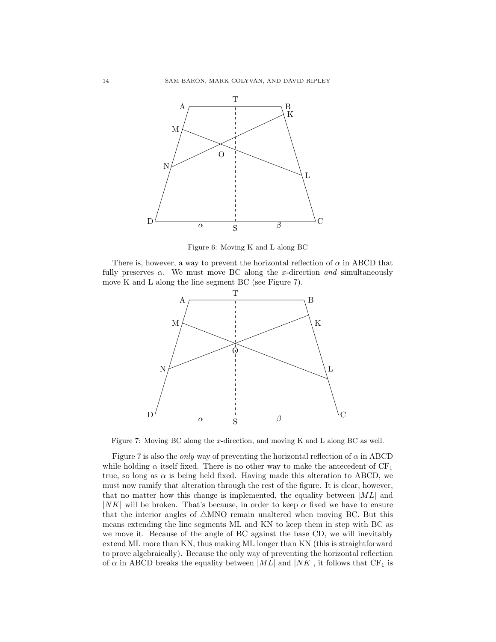

Figure 6: Moving K and L along BC

There is, however, a way to prevent the horizontal reflection of  $\alpha$  in ABCD that fully preserves  $\alpha$ . We must move BC along the x-direction and simultaneously move K and L along the line segment BC (see Figure 7).



Figure 7: Moving BC along the x-direction, and moving K and L along BC as well.

Figure 7 is also the *only* way of preventing the horizontal reflection of  $\alpha$  in ABCD while holding  $\alpha$  itself fixed. There is no other way to make the antecedent of  $CF_1$ true, so long as  $\alpha$  is being held fixed. Having made this alteration to ABCD, we must now ramify that alteration through the rest of the figure. It is clear, however, that no matter how this change is implemented, the equality between  $|ML|$  and  $|NK|$  will be broken. That's because, in order to keep  $\alpha$  fixed we have to ensure that the interior angles of  $\triangle MNO$  remain unaltered when moving BC. But this means extending the line segments ML and KN to keep them in step with BC as we move it. Because of the angle of BC against the base CD, we will inevitably extend ML more than KN, thus making ML longer than KN (this is straightforward to prove algebraically). Because the only way of preventing the horizontal reflection of  $\alpha$  in ABCD breaks the equality between  $|ML|$  and  $|NK|$ , it follows that CF<sub>1</sub> is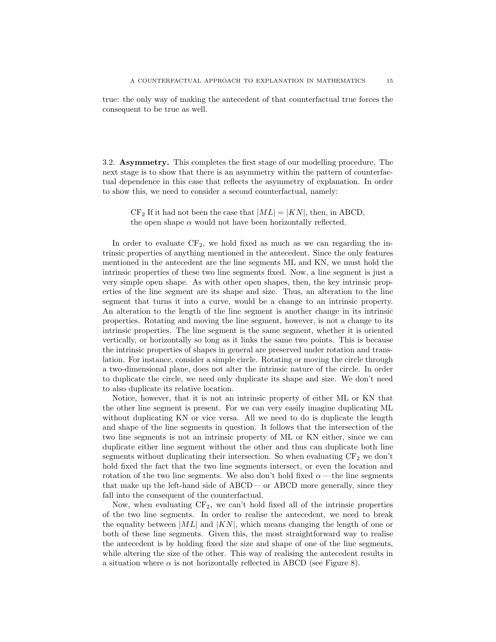true: the only way of making the antecedent of that counterfactual true forces the consequent to be true as well.

3.2. Asymmetry. This completes the first stage of our modelling procedure. The next stage is to show that there is an asymmetry within the pattern of counterfactual dependence in this case that reflects the asymmetry of explanation. In order to show this, we need to consider a second counterfactual, namely:

 $CF_2$  If it had not been the case that  $|ML| = |KN|$ , then, in ABCD, the open shape  $\alpha$  would not have been horizontally reflected.

In order to evaluate  $CF_2$ , we hold fixed as much as we can regarding the intrinsic properties of anything mentioned in the antecedent. Since the only features mentioned in the antecedent are the line segments ML and KN, we must hold the intrinsic properties of these two line segments fixed. Now, a line segment is just a very simple open shape. As with other open shapes, then, the key intrinsic properties of the line segment are its shape and size. Thus, an alteration to the line segment that turns it into a curve, would be a change to an intrinsic property. An alteration to the length of the line segment is another change in its intrinsic properties. Rotating and moving the line segment, however, is not a change to its intrinsic properties. The line segment is the same segment, whether it is oriented vertically, or horizontally so long as it links the same two points. This is because the intrinsic properties of shapes in general are preserved under rotation and translation. For instance, consider a simple circle. Rotating or moving the circle through a two-dimensional plane, does not alter the intrinsic nature of the circle. In order to duplicate the circle, we need only duplicate its shape and size. We don't need to also duplicate its relative location.

Notice, however, that it is not an intrinsic property of either ML or KN that the other line segment is present. For we can very easily imagine duplicating ML without duplicating KN or vice versa. All we need to do is duplicate the length and shape of the line segments in question. It follows that the intersection of the two line segments is not an intrinsic property of ML or KN either, since we can duplicate either line segment without the other and thus can duplicate both line segments without duplicating their intersection. So when evaluating  $CF_2$  we don't hold fixed the fact that the two line segments intersect, or even the location and rotation of the two line segments. We also don't hold fixed  $\alpha$ — the line segments that make up the left-hand side of ABCD— or ABCD more generally, since they fall into the consequent of the counterfactual.

Now, when evaluating  $CF_2$ , we can't hold fixed all of the intrinsic properties of the two line segments. In order to realise the antecedent, we need to break the equality between  $|ML|$  and  $|KN|$ , which means changing the length of one or both of these line segments. Given this, the most straightforward way to realise the antecedent is by holding fixed the size and shape of one of the line segments, while altering the size of the other. This way of realising the antecedent results in a situation where  $\alpha$  is not horizontally reflected in ABCD (see Figure 8).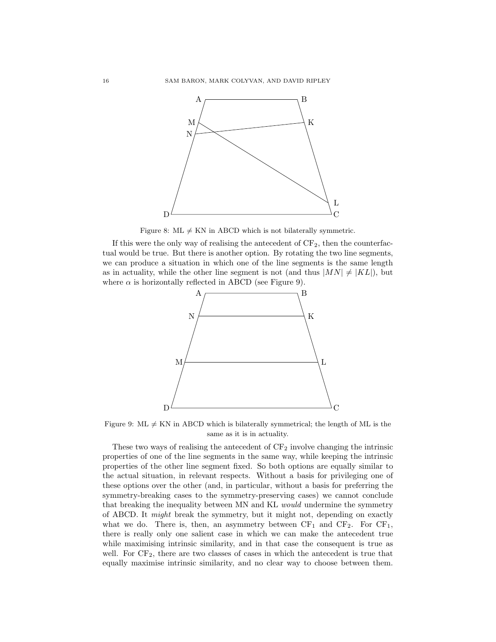

Figure 8: ML  $\neq$  KN in ABCD which is not bilaterally symmetric.

If this were the only way of realising the antecedent of  $CF_2$ , then the counterfactual would be true. But there is another option. By rotating the two line segments, we can produce a situation in which one of the line segments is the same length as in actuality, while the other line segment is not (and thus  $|MN| \neq |KL|$ ), but where  $\alpha$  is horizontally reflected in ABCD (see Figure 9).



Figure 9:  $ML \neq KN$  in ABCD which is bilaterally symmetrical; the length of ML is the same as it is in actuality.

These two ways of realising the antecedent of  $CF_2$  involve changing the intrinsic properties of one of the line segments in the same way, while keeping the intrinsic properties of the other line segment fixed. So both options are equally similar to the actual situation, in relevant respects. Without a basis for privileging one of these options over the other (and, in particular, without a basis for preferring the symmetry-breaking cases to the symmetry-preserving cases) we cannot conclude that breaking the inequality between MN and KL would undermine the symmetry of ABCD. It might break the symmetry, but it might not, depending on exactly what we do. There is, then, an asymmetry between  $CF_1$  and  $CF_2$ . For  $CF_1$ , there is really only one salient case in which we can make the antecedent true while maximising intrinsic similarity, and in that case the consequent is true as well. For  $CF_2$ , there are two classes of cases in which the antecedent is true that equally maximise intrinsic similarity, and no clear way to choose between them.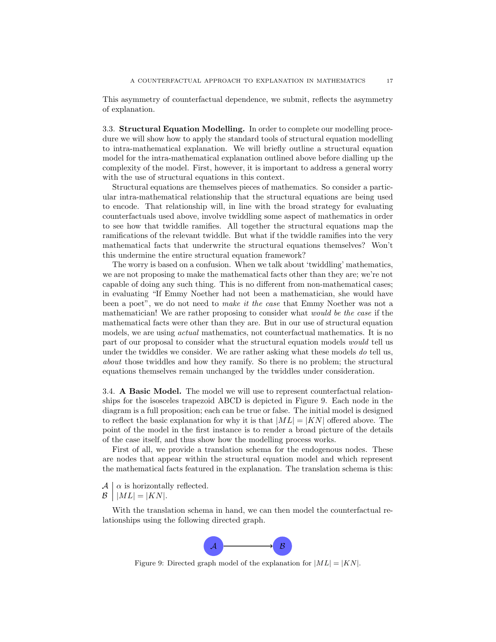This asymmetry of counterfactual dependence, we submit, reflects the asymmetry of explanation.

3.3. Structural Equation Modelling. In order to complete our modelling procedure we will show how to apply the standard tools of structural equation modelling to intra-mathematical explanation. We will briefly outline a structural equation model for the intra-mathematical explanation outlined above before dialling up the complexity of the model. First, however, it is important to address a general worry with the use of structural equations in this context.

Structural equations are themselves pieces of mathematics. So consider a particular intra-mathematical relationship that the structural equations are being used to encode. That relationship will, in line with the broad strategy for evaluating counterfactuals used above, involve twiddling some aspect of mathematics in order to see how that twiddle ramifies. All together the structural equations map the ramifications of the relevant twiddle. But what if the twiddle ramifies into the very mathematical facts that underwrite the structural equations themselves? Won't this undermine the entire structural equation framework?

The worry is based on a confusion. When we talk about 'twiddling' mathematics, we are not proposing to make the mathematical facts other than they are; we're not capable of doing any such thing. This is no different from non-mathematical cases; in evaluating "If Emmy Noether had not been a mathematician, she would have been a poet", we do not need to *make it the case* that Emmy Noether was not a mathematician! We are rather proposing to consider what would be the case if the mathematical facts were other than they are. But in our use of structural equation models, we are using *actual* mathematics, not counterfactual mathematics. It is no part of our proposal to consider what the structural equation models would tell us under the twiddles we consider. We are rather asking what these models do tell us, about those twiddles and how they ramify. So there is no problem; the structural equations themselves remain unchanged by the twiddles under consideration.

3.4. A Basic Model. The model we will use to represent counterfactual relationships for the isosceles trapezoid ABCD is depicted in Figure 9. Each node in the diagram is a full proposition; each can be true or false. The initial model is designed to reflect the basic explanation for why it is that  $|ML| = |KN|$  offered above. The point of the model in the first instance is to render a broad picture of the details of the case itself, and thus show how the modelling process works.

First of all, we provide a translation schema for the endogenous nodes. These are nodes that appear within the structural equation model and which represent the mathematical facts featured in the explanation. The translation schema is this:

 $\mathcal{A} \mid \alpha$  is horizontally reflected.

 $\mathcal{B}$  |  $|ML| = |KN|$ .

With the translation schema in hand, we can then model the counterfactual relationships using the following directed graph.



Figure 9: Directed graph model of the explanation for  $|ML| = |KN|$ .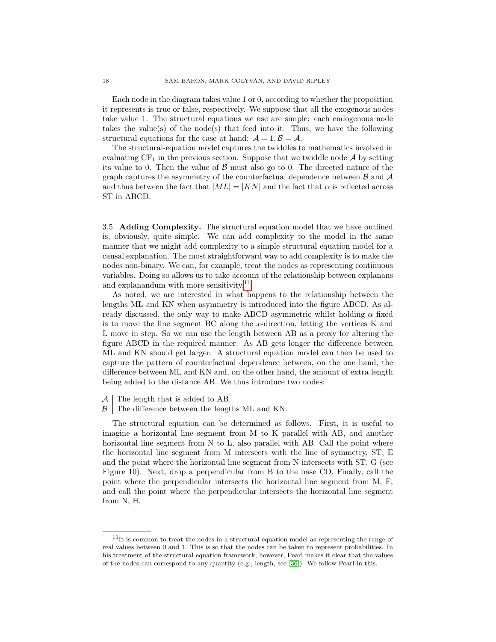Each node in the diagram takes value 1 or 0, according to whether the proposition it represents is true or false, respectively. We suppose that all the exogenous nodes take value 1. The structural equations we use are simple: each endogenous node takes the value(s) of the node(s) that feed into it. Thus, we have the following structural equations for the case at hand:  $A = 1, B = \mathcal{A}$ .

The structural-equation model captures the twiddles to mathematics involved in evaluating  $CF_1$  in the previous section. Suppose that we twiddle node A by setting its value to 0. Then the value of  $\beta$  must also go to 0. The directed nature of the graph captures the asymmetry of the counterfactual dependence between  $\beta$  and  $\mathcal A$ and thus between the fact that  $|ML| = |KN|$  and the fact that  $\alpha$  is reflected across ST in ABCD.

3.5. Adding Complexity. The structural equation model that we have outlined is, obviously, quite simple. We can add complexity to the model in the same manner that we might add complexity to a simple structural equation model for a causal explanation. The most straightforward way to add complexity is to make the nodes non-binary. We can, for example, treat the nodes as representing continuous variables. Doing so allows us to take account of the relationship between explanans and explanandum with more sensitivity.<sup>[11](#page-17-0)</sup>

As noted, we are interested in what happens to the relationship between the lengths ML and KN when asymmetry is introduced into the figure ABCD. As already discussed, the only way to make ABCD asymmetric whilst holding  $\alpha$  fixed is to move the line segment BC along the x-direction, letting the vertices K and L move in step. So we can use the length between AB as a proxy for altering the figure ABCD in the required manner. As AB gets longer the difference between ML and KN should get larger. A structural equation model can then be used to capture the pattern of counterfactual dependence between, on the one hand, the difference between ML and KN and, on the other hand, the amount of extra length being added to the distance AB. We thus introduce two nodes:

- $\mathcal{A}$  The length that is added to AB.
- $\beta$  The difference between the lengths ML and KN.

The structural equation can be determined as follows. First, it is useful to imagine a horizontal line segment from M to K parallel with AB, and another horizontal line segment from N to L, also parallel with AB. Call the point where the horizontal line segment from M intersects with the line of symmetry, ST, E and the point where the horizontal line segment from N intersects with ST, G (see Figure 10). Next, drop a perpendicular from B to the base CD. Finally, call the point where the perpendicular intersects the horizontal line segment from M, F, and call the point where the perpendicular intersects the horizontal line segment from N, H.

<span id="page-17-0"></span><sup>11</sup>It is common to treat the nodes in a structural equation model as representing the range of real values between 0 and 1. This is so that the nodes can be taken to represent probabilities. In his treatment of the structural equation framework, however, Pearl makes it clear that the values of the nodes can correspond to any quantity (e.g., length, see [\[36\]](#page-29-8)). We follow Pearl in this.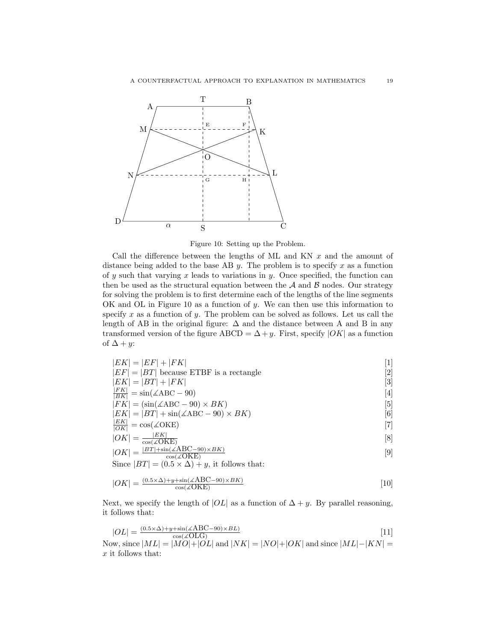

Figure 10: Setting up the Problem.

Call the difference between the lengths of ML and KN  $x$  and the amount of distance being added to the base AB  $y$ . The problem is to specify  $x$  as a function of y such that varying x leads to variations in y. Once specified, the function can then be used as the structural equation between the  $A$  and  $B$  nodes. Our strategy for solving the problem is to first determine each of the lengths of the line segments OK and OL in Figure 10 as a function of  $y$ . We can then use this information to specify  $x$  as a function of  $y$ . The problem can be solved as follows. Let us call the length of AB in the original figure:  $\Delta$  and the distance between A and B in any transformed version of the figure ABCD =  $\Delta + y$ . First, specify  $|OK|$  as a function of  $\Delta + y$ :

| $ EK  =  EF  +  FK $                                                      |                                                                                                                                                                                       |
|---------------------------------------------------------------------------|---------------------------------------------------------------------------------------------------------------------------------------------------------------------------------------|
| $ EF  =  BT $ because ETBF is a rectangle                                 | $[2] % \includegraphics[width=0.9\columnwidth]{figures/fig_2.pdf} \caption{Schematic diagram of the top of the top of the top of the right.} \label{fig:2}} %$                        |
| $ EK  =  BT  +  FK $                                                      | $[3] % \includegraphics[width=0.9\columnwidth]{figures/fig_0_2.pdf} \caption{Schematic diagram of the top of the top of the top of the top of the top of the right.} \label{fig:2} %$ |
| $\frac{ FK }{ BK } = \sin(\angle ABC - 90)$                               | [4]                                                                                                                                                                                   |
| $ FK  = (\sin(\angle ABC - 90) \times BK)$                                | [5]                                                                                                                                                                                   |
| $ EK  =  BT  + \sin(\angle ABC - 90) \times BK$                           | $\left[ 6\right]$                                                                                                                                                                     |
| $\frac{ EK }{ OK }$ = cos( $\angle$ OKE)                                  | [7]                                                                                                                                                                                   |
| $ OK  = \frac{ EK }{\cos(\angle OKE)}$                                    | [8]                                                                                                                                                                                   |
| $ OK  = \frac{ BT  + \sin(\angle ABC - 90) \times BK }{\cos(\angle OKE)}$ | $\left[ 9 \right]$                                                                                                                                                                    |
| Since $ BT  = (0.5 \times \Delta) + y$ , it follows that:                 |                                                                                                                                                                                       |

$$
|OK| = \frac{(0.5 \times \Delta) + y + \sin(\angle ABC - 90) \times BK)}{\cos(\angle OKE)} \tag{10}
$$

Next, we specify the length of  $|OL|$  as a function of  $\Delta + y$ . By parallel reasoning, it follows that:

$$
|OL| = \frac{(0.5 \times \Delta) + y + \sin(\angle ABC - 90) \times BL)}{\cos(\angle OLG)} \tag{11}
$$
  
Now, since  $|ML| = |MO| + |OL|$  and  $|NK| = |NO| + |OK|$  and since  $|ML| - |KN| = x$  it follows that: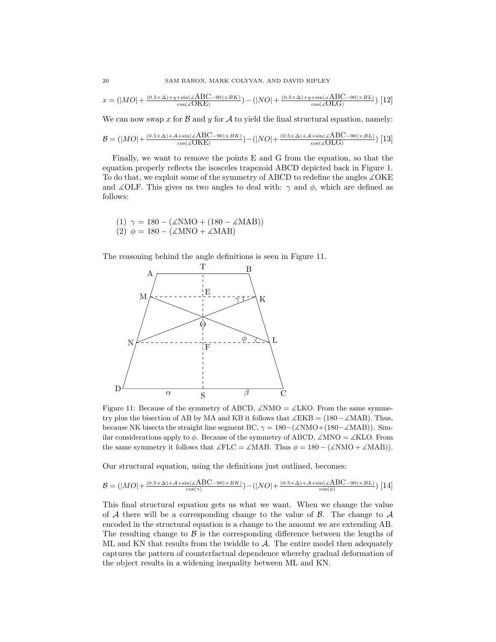$$
x = (|MO| + \frac{(0.5 \times \Delta) + y + \sin(\angle ABC - 90) \times BK)}{\cos(\angle OKE)} - (|NO| + \frac{(0.5 \times \Delta) + y + \sin(\angle ABC - 90) \times BL)}{\cos(\angle OLG)}) [12]
$$

We can now swap x for  $\beta$  and y for  $\beta$  to yield the final structural equation, namely:

$$
\mathcal{B} = (|MO| + \frac{(0.5 \times \Delta) + A + \sin(\angle ABC - 90) \times BK)}{\cos(\angle OKE)} - (|NO| + \frac{(0.5 \times \Delta) + A + \sin(\angle ABC - 90) \times BL)}{\cos(\angle OLG)} \tag{13}
$$

Finally, we want to remove the points E and G from the equation, so that the equation properly reflects the isosceles trapezoid ABCD depicted back in Figure 1. To do that, we exploit some of the symmetry of ABCD to redefine the angles  $\angle$ OKE and  $\angle$ OLF. This gives us two angles to deal with:  $\gamma$  and  $\phi$ , which are defined as follows:

(1) 
$$
\gamma = 180 - (\angle NMO + (180 - \angle MAB))
$$
  
\n(2)  $\phi = 180 - (\angle MNO + \angle MAB)$ 

The reasoning behind the angle definitions is seen in Figure 11.



Figure 11: Because of the symmetry of ABCD,  $\angle NMO = \angle LKO$ . From the same symmetry plus the bisection of AB by MA and KB it follows that  $\angle$ EKB = (180− $\angle$ MAB). Thus, because NK bisects the straight line segment BC,  $\gamma = 180-(\angle NMO+(180-\angle MAB))$ . Similar considerations apply to  $\phi$ . Because of the symmetry of ABCD,  $\angle MNO = \angle KLO$ . From the same symmetry it follows that  $\angle FLC = \angle MAB$ . Thus  $\phi = 180 - (\angle NMO + \angle MAB)$ .

Our structural equation, using the definitions just outlined, becomes:

$$
\mathcal{B} = (|MO|+\frac{(0.5\times\Delta)+\mathcal{A}+\sin(\measuredangle \text{ABC}-90)\times BK)}{\cos(\gamma)}) - (|NO|+\frac{(0.5\times\Delta)+\mathcal{A}+\sin(\measuredangle \text{ABC}-90)\times BL)}{\cos(\phi)}) \ [14]
$$

This final structural equation gets us what we want. When we change the value of A there will be a corresponding change to the value of  $\beta$ . The change to A encoded in the structural equation is a change to the amount we are extending AB. The resulting change to  $\beta$  is the corresponding difference between the lengths of  $ML$  and KN that results from the twiddle to  $A$ . The entire model then adequately captures the pattern of counterfactual dependence whereby gradual deformation of the object results in a widening inequality between ML and KN.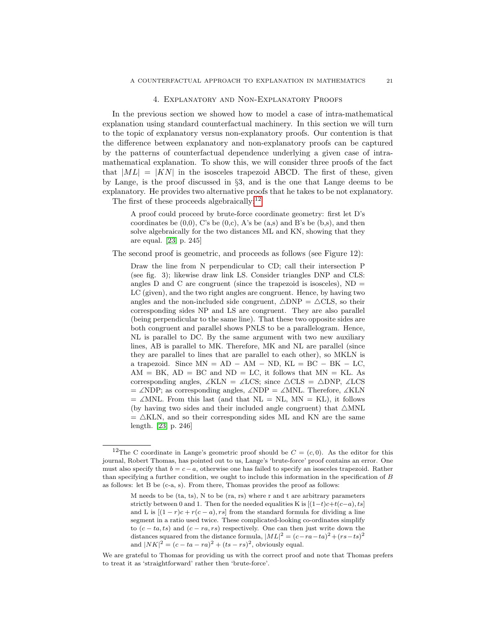#### 4. Explanatory and Non-Explanatory Proofs

In the previous section we showed how to model a case of intra-mathematical explanation using standard counterfactual machinery. In this section we will turn to the topic of explanatory versus non-explanatory proofs. Our contention is that the difference between explanatory and non-explanatory proofs can be captured by the patterns of counterfactual dependence underlying a given case of intramathematical explanation. To show this, we will consider three proofs of the fact that  $|ML| = |KN|$  in the isosceles trapezoid ABCD. The first of these, given by Lange, is the proof discussed in §3, and is the one that Lange deems to be explanatory. He provides two alternative proofs that he takes to be not explanatory.

The first of these proceeds algebraically:  $^{12}$  $^{12}$  $^{12}$ 

A proof could proceed by brute-force coordinate geometry: first let D's coordinates be  $(0,0)$ , C's be  $(0,c)$ , A's be  $(a,s)$  and B's be  $(b,s)$ , and then solve algebraically for the two distances ML and KN, showing that they are equal. [\[23,](#page-29-23) p. 245]

The second proof is geometric, and proceeds as follows (see Figure 12):

Draw the line from N perpendicular to CD; call their intersection P (see fig. 3); likewise draw link LS. Consider triangles DNP and CLS: angles D and C are congruent (since the trapezoid is isosceles),  $ND =$ LC (given), and the two right angles are congruent. Hence, by having two angles and the non-included side congruent,  $\triangle DNP = \triangle CLS$ , so their corresponding sides NP and LS are congruent. They are also parallel (being perpendicular to the same line). That these two opposite sides are both congruent and parallel shows PNLS to be a parallelogram. Hence, NL is parallel to DC. By the same argument with two new auxiliary lines, AB is parallel to MK. Therefore, MK and NL are parallel (since they are parallel to lines that are parallel to each other), so MKLN is a trapezoid. Since  $MN = AD - AM - ND$ ,  $KL = BC - BK - LC$ ,  $AM = BK$ ,  $AD = BC$  and  $ND = LC$ , it follows that  $MN = KL$ . As corresponding angles,  $\angle$ KLN =  $\angle$ LCS; since  $\triangle$ CLS =  $\triangle$ DNP,  $\angle$ LCS  $=\angle NDP$ ; as corresponding angles,  $\angle NDP = \angle MNL$ . Therefore,  $\angle KLN$  $=\angle MNL$ . From this last (and that  $NL = NL$ ,  $MN = KL$ ), it follows (by having two sides and their included angle congruent) that  $\triangle MNL$  $= \triangle$ KLN, and so their corresponding sides ML and KN are the same length. [\[23,](#page-29-23) p. 246]

<span id="page-20-0"></span><sup>&</sup>lt;sup>12</sup>The C coordinate in Lange's geometric proof should be  $C = (c, 0)$ . As the editor for this journal, Robert Thomas, has pointed out to us, Lange's 'brute-force' proof contains an error. One must also specify that  $b = c - a$ , otherwise one has failed to specify an isosceles trapezoid. Rather than specifying a further condition, we ought to include this information in the specification of B as follows: let B be (c-a, s). From there, Thomas provides the proof as follows:

M needs to be (ta, ts), N to be (ra, rs) where r and t are arbitrary parameters strictly between 0 and 1. Then for the needed equalities K is  $[(1-t)c+t(c-a), ts]$ and L is  $[(1 - r)c + r(c - a), rs]$  from the standard formula for dividing a line segment in a ratio used twice. These complicated-looking co-ordinates simplify to  $(c - ta, ts)$  and  $(c - ra, rs)$  respectively. One can then just write down the distances squared from the distance formula,  $|ML|^2 = (c-ra-ta)^2 + (rs-ts)^2$ and  $|NK|^2 = (c - ta - ra)^2 + (ts - rs)^2$ , obviously equal.

We are grateful to Thomas for providing us with the correct proof and note that Thomas prefers to treat it as 'straightforward' rather then 'brute-force'.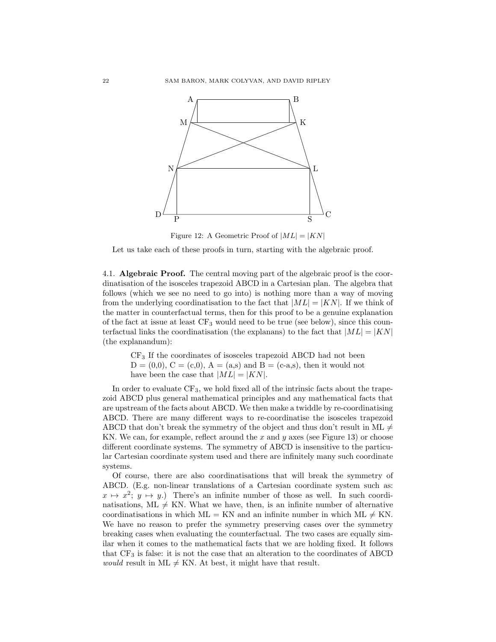

Figure 12: A Geometric Proof of  $|ML| = |KN|$ 

Let us take each of these proofs in turn, starting with the algebraic proof.

4.1. Algebraic Proof. The central moving part of the algebraic proof is the coordinatisation of the isosceles trapezoid ABCD in a Cartesian plan. The algebra that follows (which we see no need to go into) is nothing more than a way of moving from the underlying coordinatisation to the fact that  $|ML| = |KN|$ . If we think of the matter in counterfactual terms, then for this proof to be a genuine explanation of the fact at issue at least  $CF_3$  would need to be true (see below), since this counterfactual links the coordinatisation (the explanans) to the fact that  $|ML| = |KN|$ (the explanandum):

 $CF<sub>3</sub>$  If the coordinates of isosceles trapezoid ABCD had not been  $D = (0,0), C = (c,0), A = (a,s)$  and  $B = (c-a,s)$ , then it would not have been the case that  $|ML| = |KN|$ .

In order to evaluate  $CF_3$ , we hold fixed all of the intrinsic facts about the trapezoid ABCD plus general mathematical principles and any mathematical facts that are upstream of the facts about ABCD. We then make a twiddle by re-coordinatising ABCD. There are many different ways to re-coordinatise the isosceles trapezoid ABCD that don't break the symmetry of the object and thus don't result in ML  $\neq$ KN. We can, for example, reflect around the  $x$  and  $y$  axes (see Figure 13) or choose different coordinate systems. The symmetry of ABCD is insensitive to the particular Cartesian coordinate system used and there are infinitely many such coordinate systems.

Of course, there are also coordinatisations that will break the symmetry of ABCD. (E.g. non-linear translations of a Cartesian coordinate system such as:  $x \mapsto x^2$ ;  $y \mapsto y$ .) There's an infinite number of those as well. In such coordinatisations,  $ML \neq KN$ . What we have, then, is an infinite number of alternative coordinatisations in which  $ML = KN$  and an infinite number in which  $ML \neq KN$ . We have no reason to prefer the symmetry preserving cases over the symmetry breaking cases when evaluating the counterfactual. The two cases are equally similar when it comes to the mathematical facts that we are holding fixed. It follows that  $CF_3$  is false: it is not the case that an alteration to the coordinates of ABCD *would* result in  $ML \neq KN$ . At best, it might have that result.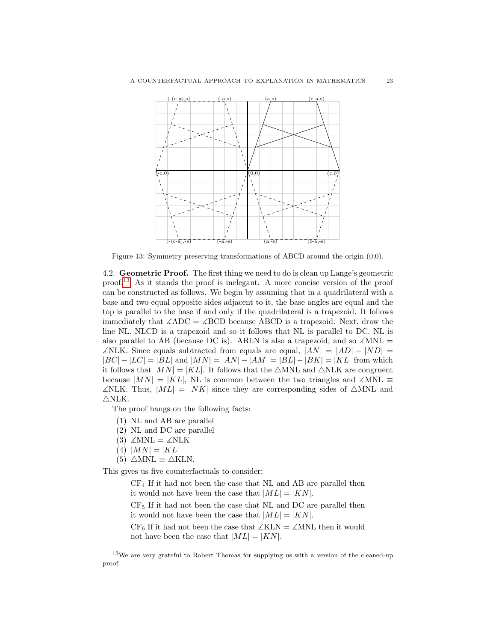

Figure 13: Symmetry preserving transformations of ABCD around the origin (0,0).

4.2. Geometric Proof. The first thing we need to do is clean up Lange's geometric proof.[13](#page-22-0) As it stands the proof is inelegant. A more concise version of the proof can be constructed as follows. We begin by assuming that in a quadrilateral with a base and two equal opposite sides adjacent to it, the base angles are equal and the top is parallel to the base if and only if the quadrilateral is a trapezoid. It follows immediately that  $\angle ADC = \angle BCD$  because ABCD is a trapezoid. Next, draw the line NL. NLCD is a trapezoid and so it follows that NL is parallel to DC. NL is also parallel to AB (because DC is). ABLN is also a trapezoid, and so  $\angle MNL =$  $\angle NLK$ . Since equals subtracted from equals are equal,  $|AN| = |AD| - |ND| =$  $|BC| - |LC| = |BL|$  and  $|MN| = |AN| - |AM| = |BL| - |BK| = |KL|$  from which it follows that  $|MN| = |KL|$ . It follows that the  $\triangle NNL$  and  $\triangle NLK$  are congruent because  $|MN| = |KL|$ , NL is common between the two triangles and  $\angle MNL \equiv$  $\angle NLK$ . Thus,  $|ML| = |NK|$  since they are corresponding sides of  $\triangle MNL$  and  $\triangle$ NLK.

The proof hangs on the following facts:

- (1) NL and AB are parallel
- (2) NL and DC are parallel
- (3)  $\angle$ MNL =  $\angle$ NLK
- $(4)$   $|MN| = |KL|$
- (5)  $\triangle MNL \equiv \triangle KLN$ .

This gives us five counterfactuals to consider:

 $CF<sub>4</sub>$  If it had not been the case that NL and AB are parallel then it would not have been the case that  $|ML| = |KN|$ .

 $CF<sub>5</sub>$  If it had not been the case that NL and DC are parallel then it would not have been the case that  $|ML| = |KN|$ .

 $CF_6$  If it had not been the case that  $\angle KLN = \angle MNL$  then it would not have been the case that  $|ML| = |KN|$ .

<span id="page-22-0"></span><sup>13</sup>We are very grateful to Robert Thomas for supplying us with a version of the cleaned-up proof.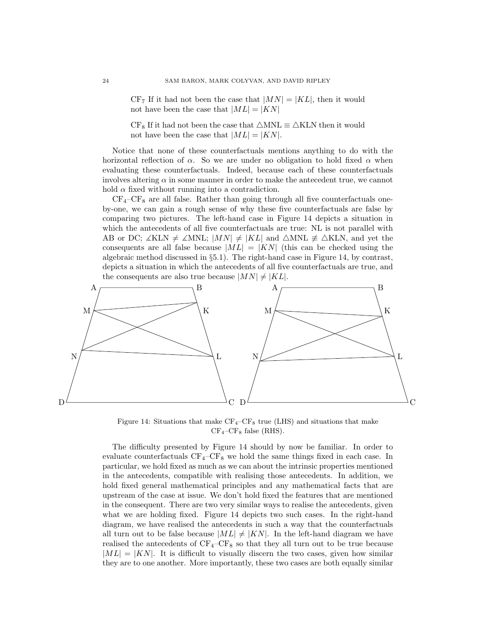$CF<sub>7</sub>$  If it had not been the case that  $|MN| = |KL|$ , then it would not have been the case that  $|ML| = |KN|$ 

 $CF_8$  If it had not been the case that  $\triangle MNL \equiv \triangle KLN$  then it would not have been the case that  $|ML| = |KN|$ .

Notice that none of these counterfactuals mentions anything to do with the horizontal reflection of  $\alpha$ . So we are under no obligation to hold fixed  $\alpha$  when evaluating these counterfactuals. Indeed, because each of these counterfactuals involves altering  $\alpha$  in some manner in order to make the antecedent true, we cannot hold  $\alpha$  fixed without running into a contradiction.

 $CF<sub>4</sub>-CF<sub>8</sub>$  are all false. Rather than going through all five counterfactuals oneby-one, we can gain a rough sense of why these five counterfactuals are false by comparing two pictures. The left-hand case in Figure 14 depicts a situation in which the antecedents of all five counterfactuals are true: NL is not parallel with AB or DC;  $\angle$ KLN  $\neq \angle$ MNL;  $|MN| \neq |KL|$  and  $\triangle$ MNL  $\neq \triangle$ KLN, and yet the consequents are all false because  $|ML| = |KN|$  (this can be checked using the algebraic method discussed in §5.1). The right-hand case in Figure 14, by contrast, depicts a situation in which the antecedents of all five counterfactuals are true, and the consequents are also true because  $|MN| \neq |KL|$ .



Figure 14: Situations that make  $CF_4-CF_8$  true (LHS) and situations that make  $CF_4-CF_8$  false (RHS).

The difficulty presented by Figure 14 should by now be familiar. In order to evaluate counterfactuals  $CF_4-CF_8$  we hold the same things fixed in each case. In particular, we hold fixed as much as we can about the intrinsic properties mentioned in the antecedents, compatible with realising those antecedents. In addition, we hold fixed general mathematical principles and any mathematical facts that are upstream of the case at issue. We don't hold fixed the features that are mentioned in the consequent. There are two very similar ways to realise the antecedents, given what we are holding fixed. Figure 14 depicts two such cases. In the right-hand diagram, we have realised the antecedents in such a way that the counterfactuals all turn out to be false because  $|ML| \neq |KN|$ . In the left-hand diagram we have realised the antecedents of  $CF_4-CF_8$  so that they all turn out to be true because  $|ML| = |KN|$ . It is difficult to visually discern the two cases, given how similar they are to one another. More importantly, these two cases are both equally similar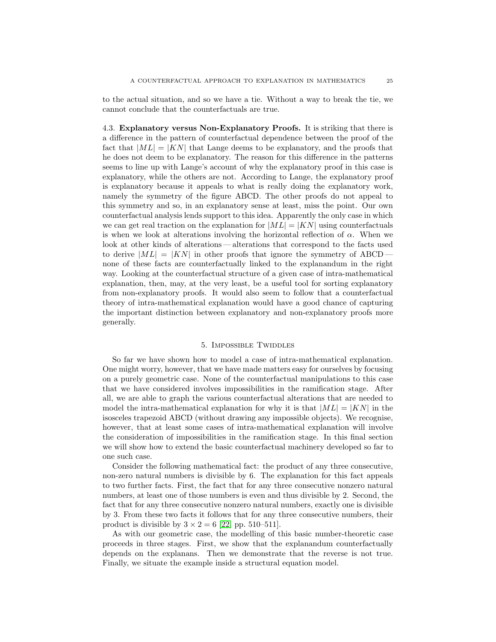to the actual situation, and so we have a tie. Without a way to break the tie, we cannot conclude that the counterfactuals are true.

4.3. Explanatory versus Non-Explanatory Proofs. It is striking that there is a difference in the pattern of counterfactual dependence between the proof of the fact that  $|ML| = |KN|$  that Lange deems to be explanatory, and the proofs that he does not deem to be explanatory. The reason for this difference in the patterns seems to line up with Lange's account of why the explanatory proof in this case is explanatory, while the others are not. According to Lange, the explanatory proof is explanatory because it appeals to what is really doing the explanatory work, namely the symmetry of the figure ABCD. The other proofs do not appeal to this symmetry and so, in an explanatory sense at least, miss the point. Our own counterfactual analysis lends support to this idea. Apparently the only case in which we can get real traction on the explanation for  $|ML| = |KN|$  using counterfactuals is when we look at alterations involving the horizontal reflection of  $\alpha$ . When we look at other kinds of alterations— alterations that correspond to the facts used to derive  $|ML| = |KN|$  in other proofs that ignore the symmetry of ABCDnone of these facts are counterfactually linked to the explanandum in the right way. Looking at the counterfactual structure of a given case of intra-mathematical explanation, then, may, at the very least, be a useful tool for sorting explanatory from non-explanatory proofs. It would also seem to follow that a counterfactual theory of intra-mathematical explanation would have a good chance of capturing the important distinction between explanatory and non-explanatory proofs more generally.

#### 5. Impossible Twiddles

So far we have shown how to model a case of intra-mathematical explanation. One might worry, however, that we have made matters easy for ourselves by focusing on a purely geometric case. None of the counterfactual manipulations to this case that we have considered involves impossibilities in the ramification stage. After all, we are able to graph the various counterfactual alterations that are needed to model the intra-mathematical explanation for why it is that  $|ML| = |KN|$  in the isosceles trapezoid ABCD (without drawing any impossible objects). We recognise, however, that at least some cases of intra-mathematical explanation will involve the consideration of impossibilities in the ramification stage. In this final section we will show how to extend the basic counterfactual machinery developed so far to one such case.

Consider the following mathematical fact: the product of any three consecutive, non-zero natural numbers is divisible by 6. The explanation for this fact appeals to two further facts. First, the fact that for any three consecutive nonzero natural numbers, at least one of those numbers is even and thus divisible by 2. Second, the fact that for any three consecutive nonzero natural numbers, exactly one is divisible by 3. From these two facts it follows that for any three consecutive numbers, their product is divisible by  $3 \times 2 = 6$  [\[22,](#page-29-0) pp. 510–511].

As with our geometric case, the modelling of this basic number-theoretic case proceeds in three stages. First, we show that the explanandum counterfactually depends on the explanans. Then we demonstrate that the reverse is not true. Finally, we situate the example inside a structural equation model.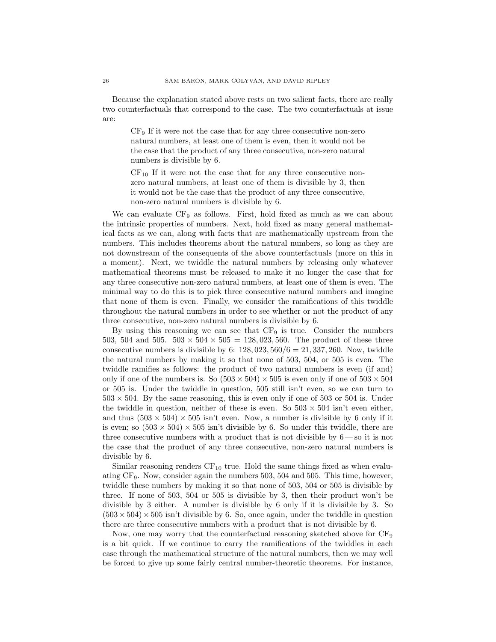Because the explanation stated above rests on two salient facts, there are really two counterfactuals that correspond to the case. The two counterfactuals at issue are:

 $CF<sub>9</sub>$  If it were not the case that for any three consecutive non-zero natural numbers, at least one of them is even, then it would not be the case that the product of any three consecutive, non-zero natural numbers is divisible by 6.

 $CF_{10}$  If it were not the case that for any three consecutive nonzero natural numbers, at least one of them is divisible by 3, then it would not be the case that the product of any three consecutive, non-zero natural numbers is divisible by 6.

We can evaluate  $CF_9$  as follows. First, hold fixed as much as we can about the intrinsic properties of numbers. Next, hold fixed as many general mathematical facts as we can, along with facts that are mathematically upstream from the numbers. This includes theorems about the natural numbers, so long as they are not downstream of the consequents of the above counterfactuals (more on this in a moment). Next, we twiddle the natural numbers by releasing only whatever mathematical theorems must be released to make it no longer the case that for any three consecutive non-zero natural numbers, at least one of them is even. The minimal way to do this is to pick three consecutive natural numbers and imagine that none of them is even. Finally, we consider the ramifications of this twiddle throughout the natural numbers in order to see whether or not the product of any three consecutive, non-zero natural numbers is divisible by 6.

By using this reasoning we can see that  $CF<sub>9</sub>$  is true. Consider the numbers 503, 504 and 505.  $503 \times 504 \times 505 = 128,023,560$ . The product of these three consecutive numbers is divisible by 6:  $128,023,560/6 = 21,337,260$ . Now, twiddle the natural numbers by making it so that none of 503, 504, or 505 is even. The twiddle ramifies as follows: the product of two natural numbers is even (if and) only if one of the numbers is. So  $(503 \times 504) \times 505$  is even only if one of  $503 \times 504$ or 505 is. Under the twiddle in question, 505 still isn't even, so we can turn to  $503 \times 504$ . By the same reasoning, this is even only if one of 503 or 504 is. Under the twiddle in question, neither of these is even. So  $503 \times 504$  isn't even either, and thus  $(503 \times 504) \times 505$  isn't even. Now, a number is divisible by 6 only if it is even; so  $(503 \times 504) \times 505$  isn't divisible by 6. So under this twiddle, there are three consecutive numbers with a product that is not divisible by  $6$ —so it is not the case that the product of any three consecutive, non-zero natural numbers is divisible by 6.

Similar reasoning renders  $CF_{10}$  true. Hold the same things fixed as when evaluating CF9. Now, consider again the numbers 503, 504 and 505. This time, however, twiddle these numbers by making it so that none of 503, 504 or 505 is divisible by three. If none of 503, 504 or 505 is divisible by 3, then their product won't be divisible by 3 either. A number is divisible by 6 only if it is divisible by 3. So  $(503 \times 504) \times 505$  isn't divisible by 6. So, once again, under the twiddle in question there are three consecutive numbers with a product that is not divisible by 6.

Now, one may worry that the counterfactual reasoning sketched above for  $CF_9$ is a bit quick. If we continue to carry the ramifications of the twiddles in each case through the mathematical structure of the natural numbers, then we may well be forced to give up some fairly central number-theoretic theorems. For instance,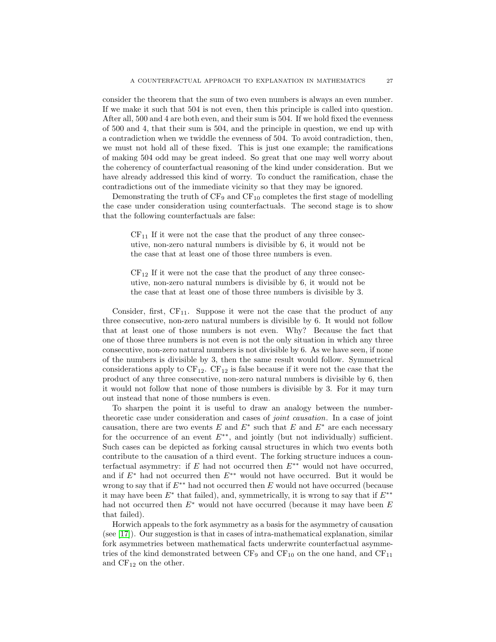consider the theorem that the sum of two even numbers is always an even number. If we make it such that 504 is not even, then this principle is called into question. After all, 500 and 4 are both even, and their sum is 504. If we hold fixed the evenness of 500 and 4, that their sum is 504, and the principle in question, we end up with a contradiction when we twiddle the evenness of 504. To avoid contradiction, then, we must not hold all of these fixed. This is just one example; the ramifications of making 504 odd may be great indeed. So great that one may well worry about the coherency of counterfactual reasoning of the kind under consideration. But we have already addressed this kind of worry. To conduct the ramification, chase the contradictions out of the immediate vicinity so that they may be ignored.

Demonstrating the truth of  $CF_9$  and  $CF_{10}$  completes the first stage of modelling the case under consideration using counterfactuals. The second stage is to show that the following counterfactuals are false:

 $CF_{11}$  If it were not the case that the product of any three consecutive, non-zero natural numbers is divisible by 6, it would not be the case that at least one of those three numbers is even.

 $CF_{12}$  If it were not the case that the product of any three consecutive, non-zero natural numbers is divisible by 6, it would not be the case that at least one of those three numbers is divisible by 3.

Consider, first,  $CF_{11}$ . Suppose it were not the case that the product of any three consecutive, non-zero natural numbers is divisible by 6. It would not follow that at least one of those numbers is not even. Why? Because the fact that one of those three numbers is not even is not the only situation in which any three consecutive, non-zero natural numbers is not divisible by 6. As we have seen, if none of the numbers is divisible by 3, then the same result would follow. Symmetrical considerations apply to  $CF_{12}$ .  $CF_{12}$  is false because if it were not the case that the product of any three consecutive, non-zero natural numbers is divisible by 6, then it would not follow that none of those numbers is divisible by 3. For it may turn out instead that none of those numbers is even.

To sharpen the point it is useful to draw an analogy between the numbertheoretic case under consideration and cases of joint causation. In a case of joint causation, there are two events E and  $E^*$  such that E and  $E^*$  are each necessary for the occurrence of an event  $E^{**}$ , and jointly (but not individually) sufficient. Such cases can be depicted as forking causal structures in which two events both contribute to the causation of a third event. The forking structure induces a counterfactual asymmetry: if E had not occurred then  $E^{**}$  would not have occurred, and if  $E^*$  had not occurred then  $E^{**}$  would not have occurred. But it would be wrong to say that if  $E^{**}$  had not occurred then E would not have occurred (because it may have been  $E^*$  that failed), and, symmetrically, it is wrong to say that if  $E^{**}$ had not occurred then  $E^*$  would not have occurred (because it may have been E that failed).

Horwich appeals to the fork asymmetry as a basis for the asymmetry of causation (see [\[17\]](#page-28-16)). Our suggestion is that in cases of intra-mathematical explanation, similar fork asymmetries between mathematical facts underwrite counterfactual asymmetries of the kind demonstrated between  $CF_9$  and  $CF_{10}$  on the one hand, and  $CF_{11}$ and  $CF_{12}$  on the other.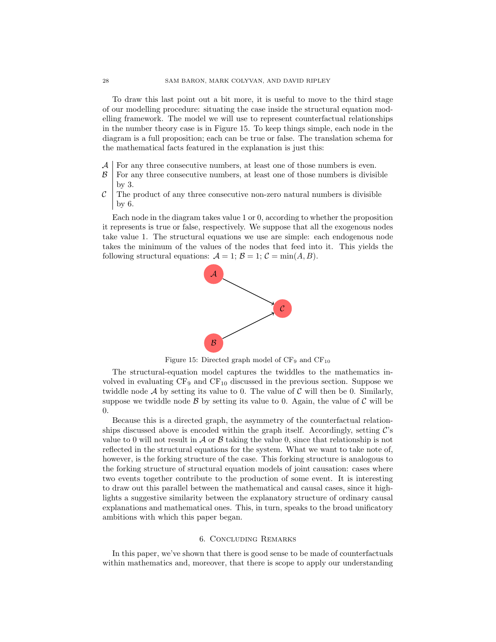To draw this last point out a bit more, it is useful to move to the third stage of our modelling procedure: situating the case inside the structural equation modelling framework. The model we will use to represent counterfactual relationships in the number theory case is in Figure 15. To keep things simple, each node in the diagram is a full proposition; each can be true or false. The translation schema for the mathematical facts featured in the explanation is just this:

- $\mathcal{A}$  For any three consecutive numbers, at least one of those numbers is even.
- $\mathcal{B}$  For any three consecutive numbers, at least one of those numbers is divisible by 3.
- $\mathcal{C}$  The product of any three consecutive non-zero natural numbers is divisible by 6.

Each node in the diagram takes value 1 or 0, according to whether the proposition it represents is true or false, respectively. We suppose that all the exogenous nodes take value 1. The structural equations we use are simple: each endogenous node takes the minimum of the values of the nodes that feed into it. This yields the following structural equations:  $\mathcal{A} = 1$ ;  $\mathcal{B} = 1$ ;  $\mathcal{C} = \min(A, B)$ .



Figure 15: Directed graph model of  $CF_9$  and  $CF_{10}$ 

The structural-equation model captures the twiddles to the mathematics involved in evaluating  $CF_9$  and  $CF_{10}$  discussed in the previous section. Suppose we twiddle node  $A$  by setting its value to 0. The value of  $C$  will then be 0. Similarly, suppose we twiddle node  $\beta$  by setting its value to 0. Again, the value of C will be 0.

Because this is a directed graph, the asymmetry of the counterfactual relationships discussed above is encoded within the graph itself. Accordingly, setting  $\mathcal{C}$ 's value to 0 will not result in  $\mathcal A$  or  $\mathcal B$  taking the value 0, since that relationship is not reflected in the structural equations for the system. What we want to take note of, however, is the forking structure of the case. This forking structure is analogous to the forking structure of structural equation models of joint causation: cases where two events together contribute to the production of some event. It is interesting to draw out this parallel between the mathematical and causal cases, since it highlights a suggestive similarity between the explanatory structure of ordinary causal explanations and mathematical ones. This, in turn, speaks to the broad unificatory ambitions with which this paper began.

# 6. Concluding Remarks

In this paper, we've shown that there is good sense to be made of counterfactuals within mathematics and, moreover, that there is scope to apply our understanding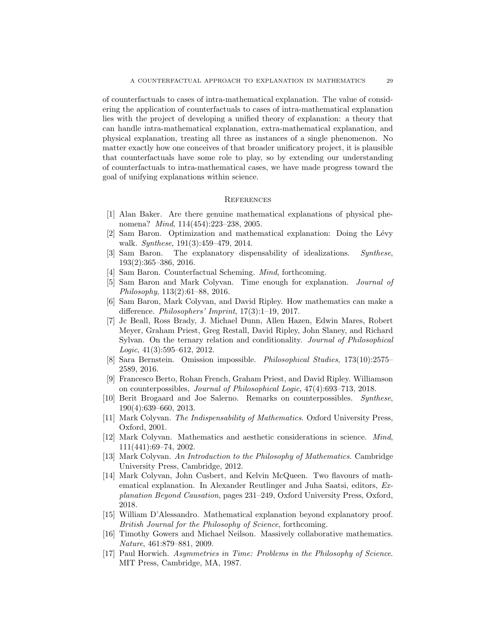of counterfactuals to cases of intra-mathematical explanation. The value of considering the application of counterfactuals to cases of intra-mathematical explanation lies with the project of developing a unified theory of explanation: a theory that can handle intra-mathematical explanation, extra-mathematical explanation, and physical explanation, treating all three as instances of a single phenomenon. No matter exactly how one conceives of that broader unificatory project, it is plausible that counterfactuals have some role to play, so by extending our understanding of counterfactuals to intra-mathematical cases, we have made progress toward the goal of unifying explanations within science.

## **REFERENCES**

- <span id="page-28-4"></span>[1] Alan Baker. Are there genuine mathematical explanations of physical phenomena? Mind, 114(454):223–238, 2005.
- <span id="page-28-5"></span> $[2]$  Sam Baron. Optimization and mathematical explanation: Doing the Lévy walk. *Synthese*, 191(3):459–479, 2014.
- <span id="page-28-9"></span>[3] Sam Baron. The explanatory dispensability of idealizations. Synthese, 193(2):365–386, 2016.
- <span id="page-28-10"></span>[4] Sam Baron. Counterfactual Scheming. Mind, forthcoming.
- <span id="page-28-6"></span>[5] Sam Baron and Mark Colyvan. Time enough for explanation. Journal of Philosophy, 113(2):61–88, 2016.
- <span id="page-28-11"></span>[6] Sam Baron, Mark Colyvan, and David Ripley. How mathematics can make a difference. Philosophers' Imprint, 17(3):1–19, 2017.
- <span id="page-28-12"></span>[7] Jc Beall, Ross Brady, J. Michael Dunn, Allen Hazen, Edwin Mares, Robert Meyer, Graham Priest, Greg Restall, David Ripley, John Slaney, and Richard Sylvan. On the ternary relation and conditionality. Journal of Philosophical  $Logic, 41(3):595-612, 2012.$
- <span id="page-28-13"></span>[8] Sara Bernstein. Omission impossible. Philosophical Studies, 173(10):2575– 2589, 2016.
- <span id="page-28-15"></span>[9] Francesco Berto, Rohan French, Graham Priest, and David Ripley. Williamson on counterpossibles, Journal of Philosophical Logic, 47(4):693–713, 2018.
- <span id="page-28-14"></span>[10] Berit Brogaard and Joe Salerno. Remarks on counterpossibles. Synthese, 190(4):639–660, 2013.
- <span id="page-28-7"></span>[11] Mark Colyvan. The Indispensability of Mathematics. Oxford University Press, Oxford, 2001.
- <span id="page-28-8"></span>[12] Mark Colyvan. Mathematics and aesthetic considerations in science. Mind, 111(441):69–74, 2002.
- <span id="page-28-3"></span>[13] Mark Colyvan. An Introduction to the Philosophy of Mathematics. Cambridge University Press, Cambridge, 2012.
- <span id="page-28-0"></span>[14] Mark Colyvan, John Cusbert, and Kelvin McQueen. Two flavours of mathematical explanation. In Alexander Reutlinger and Juha Saatsi, editors, Explanation Beyond Causation, pages 231–249, Oxford University Press, Oxford, 2018.
- <span id="page-28-2"></span>[15] William D'Alessandro. Mathematical explanation beyond explanatory proof. British Journal for the Philosophy of Science, forthcoming.
- <span id="page-28-1"></span>[16] Timothy Gowers and Michael Neilson. Massively collaborative mathematics. Nature, 461:879–881, 2009.
- <span id="page-28-16"></span>[17] Paul Horwich. Asymmetries in Time: Problems in the Philosophy of Science. MIT Press, Cambridge, MA, 1987.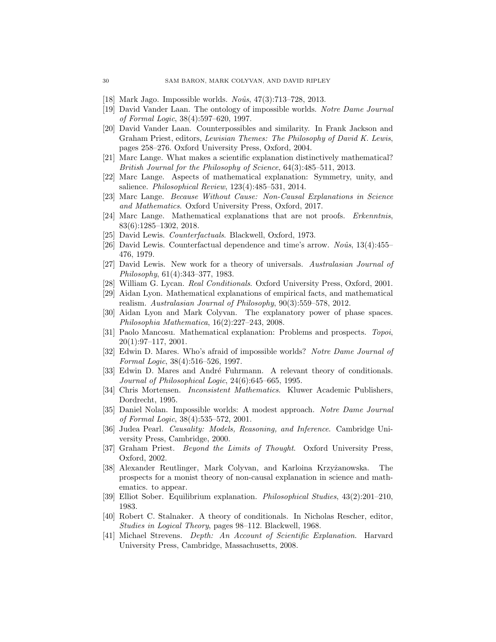- <span id="page-29-12"></span>[18] Mark Jago. Impossible worlds. *Noûs*,  $47(3)$ :713–728, 2013.
- <span id="page-29-13"></span>[19] David Vander Laan. The ontology of impossible worlds. Notre Dame Journal of Formal Logic, 38(4):597–620, 1997.
- <span id="page-29-14"></span>[20] David Vander Laan. Counterpossibles and similarity. In Frank Jackson and Graham Priest, editors, Lewisian Themes: The Philosophy of David K. Lewis, pages 258–276. Oxford University Press, Oxford, 2004.
- <span id="page-29-3"></span>[21] Marc Lange. What makes a scientific explanation distinctively mathematical? British Journal for the Philosophy of Science, 64(3):485–511, 2013.
- <span id="page-29-0"></span>[22] Marc Lange. Aspects of mathematical explanation: Symmetry, unity, and salience. Philosophical Review, 123(4):485–531, 2014.
- <span id="page-29-23"></span>[23] Marc Lange. Because Without Cause: Non-Causal Explanations in Science and Mathematics. Oxford University Press, Oxford, 2017.
- <span id="page-29-2"></span>[24] Marc Lange. Mathematical explanations that are not proofs. Erkenntnis, 83(6):1285–1302, 2018.
- <span id="page-29-10"></span>[25] David Lewis. Counterfactuals. Blackwell, Oxford, 1973.
- <span id="page-29-21"></span>[26] David Lewis. Counterfactual dependence and time's arrow.  $No\hat{u}$ , 13(4):455– 476, 1979.
- <span id="page-29-20"></span>[27] David Lewis. New work for a theory of universals. Australasian Journal of Philosophy, 61(4):343–377, 1983.
- <span id="page-29-15"></span>[28] William G. Lycan. Real Conditionals. Oxford University Press, Oxford, 2001.
- <span id="page-29-4"></span>[29] Aidan Lyon. Mathematical explanations of empirical facts, and mathematical realism. Australasian Journal of Philosophy, 90(3):559–578, 2012.
- <span id="page-29-5"></span>[30] Aidan Lyon and Mark Colyvan. The explanatory power of phase spaces. Philosophia Mathematica, 16(2):227–243, 2008.
- <span id="page-29-1"></span>[31] Paolo Mancosu. Mathematical explanation: Problems and prospects. Topoi, 20(1):97–117, 2001.
- <span id="page-29-16"></span>[32] Edwin D. Mares. Who's afraid of impossible worlds? Notre Dame Journal of Formal Logic, 38(4):516–526, 1997.
- <span id="page-29-17"></span>[33] Edwin D. Mares and André Fuhrmann. A relevant theory of conditionals. Journal of Philosophical Logic, 24(6):645–665, 1995.
- <span id="page-29-22"></span>[34] Chris Mortensen. Inconsistent Mathematics. Kluwer Academic Publishers, Dordrecht, 1995.
- <span id="page-29-18"></span>[35] Daniel Nolan. Impossible worlds: A modest approach. Notre Dame Journal of Formal Logic, 38(4):535–572, 2001.
- <span id="page-29-8"></span>[36] Judea Pearl. Causality: Models, Reasoning, and Inference. Cambridge University Press, Cambridge, 2000.
- <span id="page-29-19"></span>[37] Graham Priest. Beyond the Limits of Thought. Oxford University Press, Oxford, 2002.
- <span id="page-29-9"></span>[38] Alexander Reutlinger, Mark Colyvan, and Karloina Krzyżanowska. The prospects for a monist theory of non-causal explanation in science and mathematics. to appear.
- <span id="page-29-7"></span>[39] Elliot Sober. Equilibrium explanation. Philosophical Studies, 43(2):201–210, 1983.
- <span id="page-29-11"></span>[40] Robert C. Stalnaker. A theory of conditionals. In Nicholas Rescher, editor, Studies in Logical Theory, pages 98–112. Blackwell, 1968.
- <span id="page-29-6"></span>[41] Michael Strevens. Depth: An Account of Scientific Explanation. Harvard University Press, Cambridge, Massachusetts, 2008.